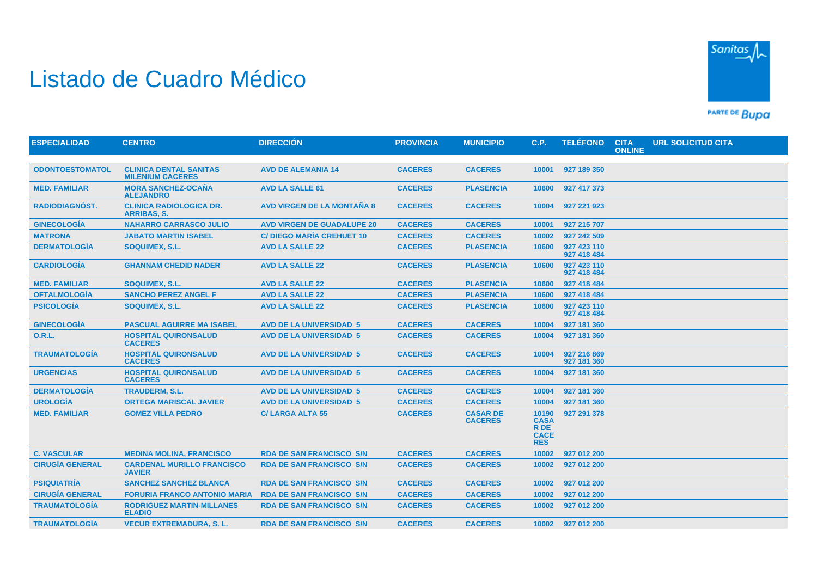## Listado de Cuadro Médico



PARTE DE BUDA

| <b>ESPECIALIDAD</b>    | <b>CENTRO</b>                                            | <b>DIRECCIÓN</b>                  | <b>PROVINCIA</b> | <b>MUNICIPIO</b>                  | C.P.                                                      | <b>TELÉFONO</b>            | <b>CITA</b><br>ONLINE | <b>URL SOLICITUD CITA</b> |
|------------------------|----------------------------------------------------------|-----------------------------------|------------------|-----------------------------------|-----------------------------------------------------------|----------------------------|-----------------------|---------------------------|
|                        |                                                          |                                   |                  |                                   |                                                           |                            |                       |                           |
| <b>ODONTOESTOMATOL</b> | <b>CLINICA DENTAL SANITAS</b><br><b>MILENIUM CACERES</b> | <b>AVD DE ALEMANIA 14</b>         | <b>CACERES</b>   | <b>CACERES</b>                    | 10001                                                     | 927 189 350                |                       |                           |
| <b>MED. FAMILIAR</b>   | <b>MORA SANCHEZ-OCAÑA</b><br><b>ALEJANDRO</b>            | <b>AVD LA SALLE 61</b>            | <b>CACERES</b>   | <b>PLASENCIA</b>                  | 10600                                                     | 927 417 373                |                       |                           |
| RADIODIAGNOST.         | <b>CLINICA RADIOLOGICA DR.</b><br><b>ARRIBAS, S.</b>     | <b>AVD VIRGEN DE LA MONTAÑA 8</b> | <b>CACERES</b>   | <b>CACERES</b>                    | 10004                                                     | 927 221 923                |                       |                           |
| <b>GINECOLOGÍA</b>     | <b>NAHARRO CARRASCO JULIO</b>                            | <b>AVD VIRGEN DE GUADALUPE 20</b> | <b>CACERES</b>   | <b>CACERES</b>                    | 10001                                                     | 927 215 707                |                       |                           |
| <b>MATRONA</b>         | <b>JABATO MARTIN ISABEL</b>                              | <b>C/DIEGO MARÍA CREHUET 10</b>   | <b>CACERES</b>   | <b>CACERES</b>                    | 10002                                                     | 927 242 509                |                       |                           |
| <b>DERMATOLOGÍA</b>    | SOQUIMEX, S.L.                                           | <b>AVD LA SALLE 22</b>            | <b>CACERES</b>   | <b>PLASENCIA</b>                  | 10600                                                     | 927 423 110<br>927 418 484 |                       |                           |
| <b>CARDIOLOGIA</b>     | <b>GHANNAM CHEDID NADER</b>                              | <b>AVD LA SALLE 22</b>            | <b>CACERES</b>   | <b>PLASENCIA</b>                  | 10600                                                     | 927 423 110<br>927 418 484 |                       |                           |
| <b>MED. FAMILIAR</b>   | SOQUIMEX, S.L.                                           | <b>AVD LA SALLE 22</b>            | <b>CACERES</b>   | <b>PLASENCIA</b>                  | 10600                                                     | 927 418 484                |                       |                           |
| <b>OFTALMOLOGIA</b>    | <b>SANCHO PEREZ ANGEL F</b>                              | <b>AVD LA SALLE 22</b>            | <b>CACERES</b>   | <b>PLASENCIA</b>                  | 10600                                                     | 927 418 484                |                       |                           |
| <b>PSICOLOGÍA</b>      | SOQUIMEX, S.L.                                           | <b>AVD LA SALLE 22</b>            | <b>CACERES</b>   | <b>PLASENCIA</b>                  | 10600                                                     | 927 423 110<br>927 418 484 |                       |                           |
| <b>GINECOLOGÍA</b>     | <b>PASCUAL AGUIRRE MA ISABEL</b>                         | <b>AVD DE LA UNIVERSIDAD 5</b>    | <b>CACERES</b>   | <b>CACERES</b>                    | 10004                                                     | 927 181 360                |                       |                           |
| <b>O.R.L.</b>          | <b>HOSPITAL QUIRONSALUD</b><br><b>CACERES</b>            | <b>AVD DE LA UNIVERSIDAD 5</b>    | <b>CACERES</b>   | <b>CACERES</b>                    | 10004                                                     | 927 181 360                |                       |                           |
| <b>TRAUMATOLOGÍA</b>   | <b>HOSPITAL QUIRONSALUD</b><br><b>CACERES</b>            | <b>AVD DE LA UNIVERSIDAD 5</b>    | <b>CACERES</b>   | <b>CACERES</b>                    | 10004                                                     | 927 216 869<br>927 181 360 |                       |                           |
| <b>URGENCIAS</b>       | <b>HOSPITAL QUIRONSALUD</b><br><b>CACERES</b>            | <b>AVD DE LA UNIVERSIDAD 5</b>    | <b>CACERES</b>   | <b>CACERES</b>                    | 10004                                                     | 927 181 360                |                       |                           |
| <b>DERMATOLOGÍA</b>    | <b>TRAUDERM, S.L.</b>                                    | <b>AVD DE LA UNIVERSIDAD 5</b>    | <b>CACERES</b>   | <b>CACERES</b>                    | 10004                                                     | 927 181 360                |                       |                           |
| <b>UROLOGÍA</b>        | <b>ORTEGA MARISCAL JAVIER</b>                            | <b>AVD DE LA UNIVERSIDAD 5</b>    | <b>CACERES</b>   | <b>CACERES</b>                    | 10004                                                     | 927 181 360                |                       |                           |
| <b>MED. FAMILIAR</b>   | <b>GOMEZ VILLA PEDRO</b>                                 | <b>C/LARGA ALTA 55</b>            | <b>CACERES</b>   | <b>CASAR DE</b><br><b>CACERES</b> | 10190<br><b>CASA</b><br>R DE<br><b>CACE</b><br><b>RES</b> | 927 291 378                |                       |                           |
| <b>C. VASCULAR</b>     | <b>MEDINA MOLINA, FRANCISCO</b>                          | <b>RDA DE SAN FRANCISCO S/N</b>   | <b>CACERES</b>   | <b>CACERES</b>                    | 10002                                                     | 927 012 200                |                       |                           |
| <b>CIRUGÍA GENERAL</b> | <b>CARDENAL MURILLO FRANCISCO</b><br><b>JAVIER</b>       | <b>RDA DE SAN FRANCISCO S/N</b>   | <b>CACERES</b>   | <b>CACERES</b>                    | 10002                                                     | 927 012 200                |                       |                           |
| <b>PSIQUIATRÍA</b>     | <b>SANCHEZ SANCHEZ BLANCA</b>                            | <b>RDA DE SAN FRANCISCO S/N</b>   | <b>CACERES</b>   | <b>CACERES</b>                    | 10002                                                     | 927 012 200                |                       |                           |
| <b>CIRUGÍA GENERAL</b> | <b>FORURIA FRANCO ANTONIO MARIA</b>                      | <b>RDA DE SAN FRANCISCO S/N</b>   | <b>CACERES</b>   | <b>CACERES</b>                    | 10002                                                     | 927 012 200                |                       |                           |
| <b>TRAUMATOLOGÍA</b>   | <b>RODRIGUEZ MARTIN-MILLANES</b><br><b>ELADIO</b>        | <b>RDA DE SAN FRANCISCO S/N</b>   | <b>CACERES</b>   | <b>CACERES</b>                    | 10002                                                     | 927 012 200                |                       |                           |
| <b>TRAUMATOLOGÍA</b>   | <b>VECUR EXTREMADURA, S. L.</b>                          | <b>RDA DE SAN FRANCISCO S/N</b>   | <b>CACERES</b>   | <b>CACERES</b>                    |                                                           | 10002 927 012 200          |                       |                           |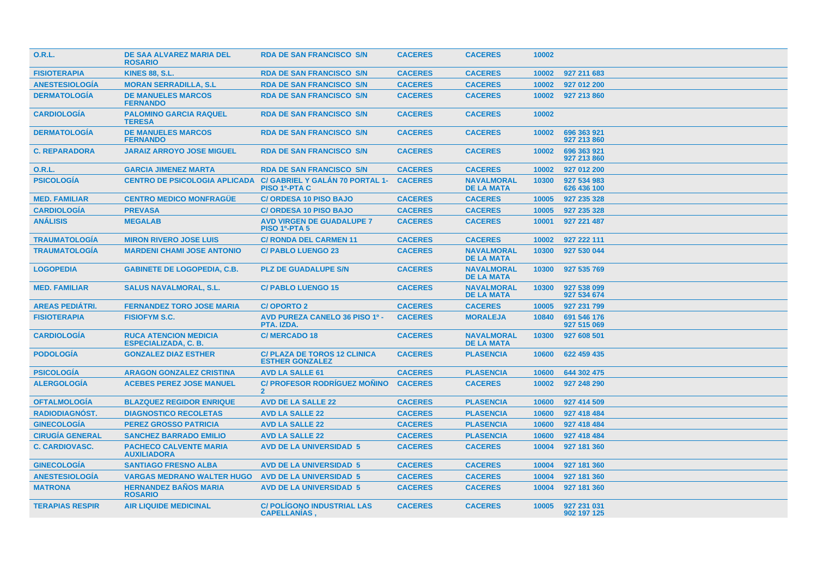| <b>O.R.L.</b>          | <b>DE SAA ALVAREZ MARIA DEL</b><br><b>ROSARIO</b>           | <b>RDA DE SAN FRANCISCO S/N</b>                               | <b>CACERES</b> | <b>CACERES</b>                         | 10002 |                            |
|------------------------|-------------------------------------------------------------|---------------------------------------------------------------|----------------|----------------------------------------|-------|----------------------------|
| <b>FISIOTERAPIA</b>    | <b>KINES 88, S.L.</b>                                       | <b>RDA DE SAN FRANCISCO S/N</b>                               | <b>CACERES</b> | <b>CACERES</b>                         | 10002 | 927 211 683                |
| <b>ANESTESIOLOGIA</b>  | <b>MORAN SERRADILLA, S.L.</b>                               | <b>RDA DE SAN FRANCISCO S/N</b>                               | <b>CACERES</b> | <b>CACERES</b>                         | 10002 | 927 012 200                |
| <b>DERMATOLOGÍA</b>    | <b>DE MANUELES MARCOS</b><br><b>FERNANDO</b>                | <b>RDA DE SAN FRANCISCO S/N</b>                               | <b>CACERES</b> | <b>CACERES</b>                         | 10002 | 927 213 860                |
| <b>CARDIOLOGIA</b>     | <b>PALOMINO GARCIA RAQUEL</b><br><b>TERESA</b>              | <b>RDA DE SAN FRANCISCO S/N</b>                               | <b>CACERES</b> | <b>CACERES</b>                         | 10002 |                            |
| <b>DERMATOLOGIA</b>    | <b>DE MANUELES MARCOS</b><br><b>FERNANDO</b>                | <b>RDA DE SAN FRANCISCO S/N</b>                               | <b>CACERES</b> | <b>CACERES</b>                         | 10002 | 696 363 921<br>927 213 860 |
| <b>C. REPARADORA</b>   | <b>JARAIZ ARROYO JOSE MIGUEL</b>                            | <b>RDA DE SAN FRANCISCO S/N</b>                               | <b>CACERES</b> | <b>CACERES</b>                         | 10002 | 696 363 921<br>927 213 860 |
| <b>O.R.L.</b>          | <b>GARCIA JIMENEZ MARTA</b>                                 | <b>RDA DE SAN FRANCISCO S/N</b>                               | <b>CACERES</b> | <b>CACERES</b>                         | 10002 | 927 012 200                |
| <b>PSICOLOGÍA</b>      | <b>CENTRO DE PSICOLOGIA APLICADA</b>                        | C/ GABRIEL Y GALÁN 70 PORTAL 1-<br><b>PISO 1º-PTA C</b>       | <b>CACERES</b> | <b>NAVALMORAL</b><br><b>DE LA MATA</b> | 10300 | 927 534 983<br>626 436 100 |
| <b>MED. FAMILIAR</b>   | <b>CENTRO MEDICO MONFRAGÜE</b>                              | <b>C/ ORDESA 10 PISO BAJO</b>                                 | <b>CACERES</b> | <b>CACERES</b>                         | 10005 | 927 235 328                |
| <b>CARDIOLOGIA</b>     | <b>PREVASA</b>                                              | <b>C/ ORDESA 10 PISO BAJO</b>                                 | <b>CACERES</b> | <b>CACERES</b>                         | 10005 | 927 235 328                |
| <b>ANÁLISIS</b>        | <b>MEGALAB</b>                                              | <b>AVD VIRGEN DE GUADALUPE 7</b><br><b>PISO 1º-PTA 5</b>      | <b>CACERES</b> | <b>CACERES</b>                         | 10001 | 927 221 487                |
| <b>TRAUMATOLOGIA</b>   | <b>MIRON RIVERO JOSE LUIS</b>                               | <b>C/ RONDA DEL CARMEN 11</b>                                 | <b>CACERES</b> | <b>CACERES</b>                         | 10002 | 927 222 111                |
| <b>TRAUMATOLOGÍA</b>   | <b>MARDENI CHAMI JOSE ANTONIO</b>                           | <b>C/PABLO LUENGO 23</b>                                      | <b>CACERES</b> | <b>NAVALMORAL</b><br><b>DE LA MATA</b> | 10300 | 927 530 044                |
| <b>LOGOPEDIA</b>       | <b>GABINETE DE LOGOPEDIA, C.B.</b>                          | <b>PLZ DE GUADALUPE S/N</b>                                   | <b>CACERES</b> | <b>NAVALMORAL</b><br><b>DE LA MATA</b> | 10300 | 927 535 769                |
| <b>MED. FAMILIAR</b>   | <b>SALUS NAVALMORAL, S.L.</b>                               | <b>C/PABLO LUENGO 15</b>                                      | <b>CACERES</b> | <b>NAVALMORAL</b><br><b>DE LA MATA</b> | 10300 | 927 538 099<br>927 534 674 |
| <b>AREAS PEDIÁTRI.</b> | <b>FERNANDEZ TORO JOSE MARIA</b>                            | <b>C/OPORTO 2</b>                                             | <b>CACERES</b> | <b>CACERES</b>                         | 10005 | 927 231 799                |
| <b>FISIOTERAPIA</b>    | <b>FISIOFYM S.C.</b>                                        | <b>AVD PUREZA CANELO 36 PISO 1º -</b><br>PTA. IZDA.           | <b>CACERES</b> | <b>MORALEJA</b>                        | 10840 | 691 546 176<br>927 515 069 |
| <b>CARDIOLOGIA</b>     | <b>RUCA ATENCION MEDICIA</b><br><b>ESPECIALIZADA, C. B.</b> | <b>C/MERCADO 18</b>                                           | <b>CACERES</b> | <b>NAVALMORAL</b><br><b>DE LA MATA</b> | 10300 | 927 608 501                |
| <b>PODOLOGIA</b>       | <b>GONZALEZ DIAZ ESTHER</b>                                 | <b>C/ PLAZA DE TOROS 12 CLINICA</b><br><b>ESTHER GONZALEZ</b> | <b>CACERES</b> | <b>PLASENCIA</b>                       | 10600 | 622 459 435                |
| <b>PSICOLOGÍA</b>      | <b>ARAGON GONZALEZ CRISTINA</b>                             | <b>AVD LA SALLE 61</b>                                        | <b>CACERES</b> | <b>PLASENCIA</b>                       | 10600 | 644 302 475                |
| <b>ALERGOLOGÍA</b>     | <b>ACEBES PEREZ JOSE MANUEL</b>                             | <b>C/ PROFESOR RODRÍGUEZ MOÑINO</b><br>$\overline{2}$         | <b>CACERES</b> | <b>CACERES</b>                         | 10002 | 927 248 290                |
| <b>OFTALMOLOGÍA</b>    | <b>BLAZQUEZ REGIDOR ENRIQUE</b>                             | <b>AVD DE LA SALLE 22</b>                                     | <b>CACERES</b> | <b>PLASENCIA</b>                       | 10600 | 927 414 509                |
| RADIODIAGNÓST.         | <b>DIAGNOSTICO RECOLETAS</b>                                | <b>AVD LA SALLE 22</b>                                        | <b>CACERES</b> | <b>PLASENCIA</b>                       | 10600 | 927 418 484                |
| <b>GINECOLOGIA</b>     | <b>PEREZ GROSSO PATRICIA</b>                                | <b>AVD LA SALLE 22</b>                                        | <b>CACERES</b> | <b>PLASENCIA</b>                       | 10600 | 927 418 484                |
| <b>CIRUGÍA GENERAL</b> | <b>SANCHEZ BARRADO EMILIO</b>                               | <b>AVD LA SALLE 22</b>                                        | <b>CACERES</b> | <b>PLASENCIA</b>                       | 10600 | 927 418 484                |
| <b>C. CARDIOVASC.</b>  | <b>PACHECO CALVENTE MARIA</b><br><b>AUXILIADORA</b>         | <b>AVD DE LA UNIVERSIDAD 5</b>                                | <b>CACERES</b> | <b>CACERES</b>                         | 10004 | 927 181 360                |
| <b>GINECOLOGÍA</b>     | <b>SANTIAGO FRESNO ALBA</b>                                 | <b>AVD DE LA UNIVERSIDAD 5</b>                                | <b>CACERES</b> | <b>CACERES</b>                         | 10004 | 927 181 360                |
| <b>ANESTESIOLOGÍA</b>  | <b>VARGAS MEDRANO WALTER HUGO</b>                           | <b>AVD DE LA UNIVERSIDAD 5</b>                                | <b>CACERES</b> | <b>CACERES</b>                         | 10004 | 927 181 360                |
| <b>MATRONA</b>         | <b>HERNANDEZ BAÑOS MARIA</b><br><b>ROSARIO</b>              | <b>AVD DE LA UNIVERSIDAD 5</b>                                | <b>CACERES</b> | <b>CACERES</b>                         | 10004 | 927 181 360                |
| <b>TERAPIAS RESPIR</b> | <b>AIR LIQUIDE MEDICINAL</b>                                | <b>C/ POLÍGONO INDUSTRIAL LAS</b><br><b>CAPELLANIAS</b>       | <b>CACERES</b> | <b>CACERES</b>                         | 10005 | 927 231 031<br>902 197 125 |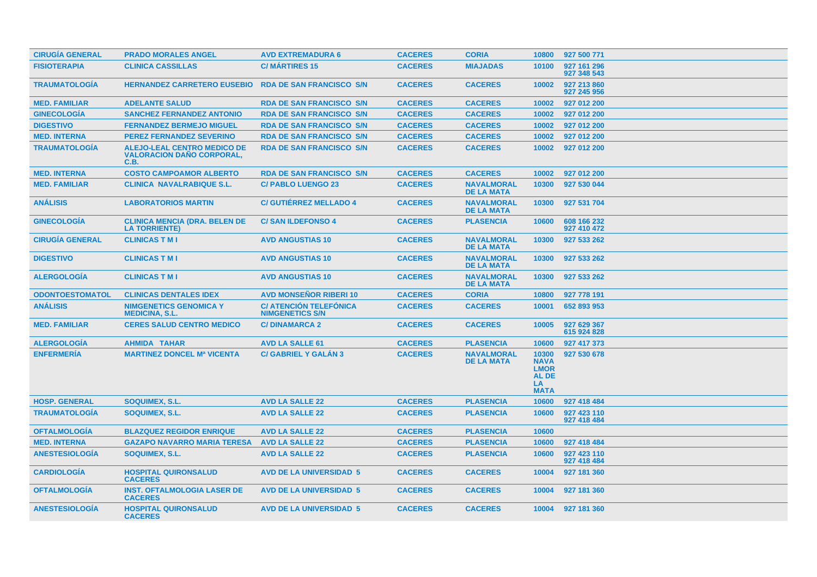| <b>CIRUGIA GENERAL</b> | <b>PRADO MORALES ANGEL</b>                                                     | <b>AVD EXTREMADURA 6</b>                                | <b>CACERES</b> | <b>CORIA</b>                           | 10800                                                              | 927 500 771                |
|------------------------|--------------------------------------------------------------------------------|---------------------------------------------------------|----------------|----------------------------------------|--------------------------------------------------------------------|----------------------------|
| <b>FISIOTERAPIA</b>    | <b>CLINICA CASSILLAS</b>                                                       | <b>C/MARTIRES 15</b>                                    | <b>CACERES</b> | <b>MIAJADAS</b>                        | 10100                                                              | 927 161 296<br>927 348 543 |
| <b>TRAUMATOLOGÍA</b>   | <b>HERNANDEZ CARRETERO EUSEBIO</b>                                             | <b>RDA DE SAN FRANCISCO S/N</b>                         | <b>CACERES</b> | <b>CACERES</b>                         | 10002                                                              | 927 213 860<br>927 245 956 |
| <b>MED. FAMILIAR</b>   | <b>ADELANTE SALUD</b>                                                          | <b>RDA DE SAN FRANCISCO S/N</b>                         | <b>CACERES</b> | <b>CACERES</b>                         | 10002                                                              | 927 012 200                |
| <b>GINECOLOGÍA</b>     | <b>SANCHEZ FERNANDEZ ANTONIO</b>                                               | <b>RDA DE SAN FRANCISCO S/N</b>                         | <b>CACERES</b> | <b>CACERES</b>                         | 10002                                                              | 927 012 200                |
| <b>DIGESTIVO</b>       | <b>FERNANDEZ BERMEJO MIGUEL</b>                                                | <b>RDA DE SAN FRANCISCO S/N</b>                         | <b>CACERES</b> | <b>CACERES</b>                         | 10002                                                              | 927 012 200                |
| <b>MED. INTERNA</b>    | <b>PEREZ FERNANDEZ SEVERINO</b>                                                | <b>RDA DE SAN FRANCISCO S/N</b>                         | <b>CACERES</b> | <b>CACERES</b>                         | 10002                                                              | 927 012 200                |
| <b>TRAUMATOLOGÍA</b>   | <b>ALEJO-LEAL CENTRO MEDICO DE</b><br><b>VALORACION DAÑO CORPORAL,</b><br>C.B. | <b>RDA DE SAN FRANCISCO S/N</b>                         | <b>CACERES</b> | <b>CACERES</b>                         | 10002                                                              | 927 012 200                |
| <b>MED. INTERNA</b>    | <b>COSTO CAMPOAMOR ALBERTO</b>                                                 | <b>RDA DE SAN FRANCISCO S/N</b>                         | <b>CACERES</b> | <b>CACERES</b>                         | 10002                                                              | 927 012 200                |
| <b>MED. FAMILIAR</b>   | <b>CLINICA NAVALRABIQUE S.L.</b>                                               | <b>C/ PABLO LUENGO 23</b>                               | <b>CACERES</b> | <b>NAVALMORAL</b><br><b>DE LA MATA</b> | 10300                                                              | 927 530 044                |
| <b>ANÁLISIS</b>        | <b>LABORATORIOS MARTIN</b>                                                     | <b>C/ GUTIÉRREZ MELLADO 4</b>                           | <b>CACERES</b> | <b>NAVALMORAL</b><br><b>DE LA MATA</b> | 10300                                                              | 927 531 704                |
| <b>GINECOLOGÍA</b>     | <b>CLINICA MENCIA (DRA. BELEN DE</b><br><b>LA TORRIENTE)</b>                   | <b>C/SAN ILDEFONSO 4</b>                                | <b>CACERES</b> | <b>PLASENCIA</b>                       | 10600                                                              | 608 166 232<br>927 410 472 |
| <b>CIRUGÍA GENERAL</b> | <b>CLINICAS T M I</b>                                                          | <b>AVD ANGUSTIAS 10</b>                                 | <b>CACERES</b> | <b>NAVALMORAL</b><br><b>DE LA MATA</b> | 10300                                                              | 927 533 262                |
| <b>DIGESTIVO</b>       | <b>CLINICAS T M I</b>                                                          | <b>AVD ANGUSTIAS 10</b>                                 | <b>CACERES</b> | <b>NAVALMORAL</b><br><b>DE LA MATA</b> | 10300                                                              | 927 533 262                |
| <b>ALERGOLOGIA</b>     | <b>CLINICAS T M I</b>                                                          | <b>AVD ANGUSTIAS 10</b>                                 | <b>CACERES</b> | <b>NAVALMORAL</b><br><b>DE LA MATA</b> | 10300                                                              | 927 533 262                |
| <b>ODONTOESTOMATOL</b> | <b>CLINICAS DENTALES IDEX</b>                                                  | <b>AVD MONSENOR RIBERI 10</b>                           | <b>CACERES</b> | <b>CORIA</b>                           | 10800                                                              | 927 778 191                |
| <b>ANÁLISIS</b>        | <b>NIMGENETICS GENOMICA Y</b><br><b>MEDICINA, S.L.</b>                         | <b>C/ ATENCIÓN TELEFÓNICA</b><br><b>NIMGENETICS S/N</b> | <b>CACERES</b> | <b>CACERES</b>                         | 10001                                                              | 652 893 953                |
| <b>MED. FAMILIAR</b>   | <b>CERES SALUD CENTRO MEDICO</b>                                               | <b>C/DINAMARCA 2</b>                                    | <b>CACERES</b> | <b>CACERES</b>                         | 10005                                                              | 927 629 367<br>615 924 828 |
| <b>ALERGOLOGÍA</b>     | <b>AHMIDA TAHAR</b>                                                            | <b>AVD LA SALLE 61</b>                                  | <b>CACERES</b> | <b>PLASENCIA</b>                       | 10600                                                              | 927 417 373                |
| <b>ENFERMERÍA</b>      | <b>MARTINEZ DONCEL Mª VICENTA</b>                                              | <b>C/ GABRIEL Y GALAN 3</b>                             | <b>CACERES</b> | <b>NAVALMORAL</b><br><b>DE LA MATA</b> | 10300<br><b>NAVA</b><br><b>LMOR</b><br>AL DE<br>LA.<br><b>MATA</b> | 927 530 678                |
| <b>HOSP. GENERAL</b>   | <b>SOQUIMEX, S.L.</b>                                                          | <b>AVD LA SALLE 22</b>                                  | <b>CACERES</b> | <b>PLASENCIA</b>                       | 10600                                                              | 927 418 484                |
| <b>TRAUMATOLOGÍA</b>   | SOQUIMEX, S.L.                                                                 | <b>AVD LA SALLE 22</b>                                  | <b>CACERES</b> | <b>PLASENCIA</b>                       | 10600                                                              | 927 423 110<br>927 418 484 |
| <b>OFTALMOLOGIA</b>    | <b>BLAZQUEZ REGIDOR ENRIQUE</b>                                                | <b>AVD LA SALLE 22</b>                                  | <b>CACERES</b> | <b>PLASENCIA</b>                       | 10600                                                              |                            |
| <b>MED. INTERNA</b>    | <b>GAZAPO NAVARRO MARIA TERESA</b>                                             | <b>AVD LA SALLE 22</b>                                  | <b>CACERES</b> | <b>PLASENCIA</b>                       | 10600                                                              | 927 418 484                |
| <b>ANESTESIOLOGÍA</b>  | SOQUIMEX, S.L.                                                                 | <b>AVD LA SALLE 22</b>                                  | <b>CACERES</b> | <b>PLASENCIA</b>                       | 10600                                                              | 927 423 110<br>927 418 484 |
| <b>CARDIOLOGÍA</b>     | <b>HOSPITAL QUIRONSALUD</b><br><b>CACERES</b>                                  | <b>AVD DE LA UNIVERSIDAD 5</b>                          | <b>CACERES</b> | <b>CACERES</b>                         | 10004                                                              | 927 181 360                |
| <b>OFTALMOLOGIA</b>    | <b>INST. OFTALMOLOGIA LASER DE</b><br><b>CACERES</b>                           | <b>AVD DE LA UNIVERSIDAD 5</b>                          | <b>CACERES</b> | <b>CACERES</b>                         | 10004                                                              | 927 181 360                |
| <b>ANESTESIOLOGÍA</b>  | <b>HOSPITAL QUIRONSALUD</b><br><b>CACERES</b>                                  | <b>AVD DE LA UNIVERSIDAD 5</b>                          | <b>CACERES</b> | <b>CACERES</b>                         | 10004                                                              | 927 181 360                |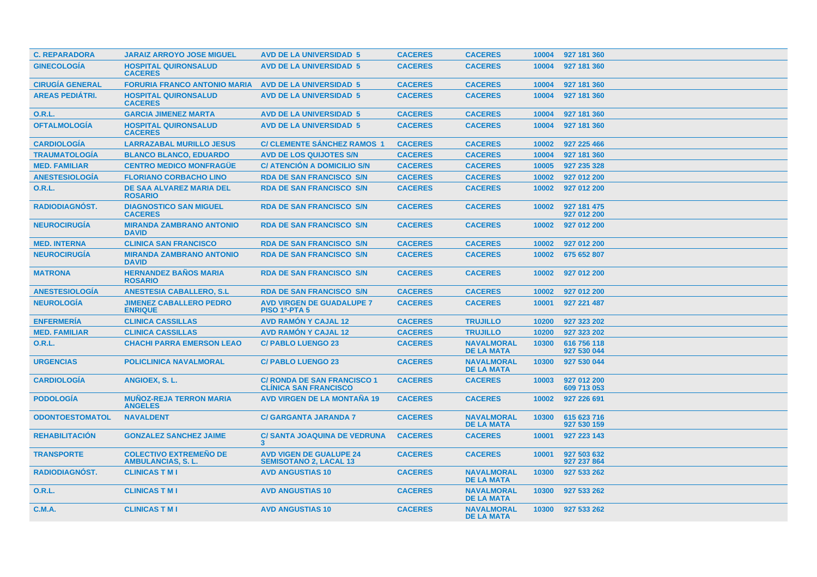| <b>C. REPARADORA</b>   | <b>JARAIZ ARROYO JOSE MIGUEL</b>                           | <b>AVD DE LA UNIVERSIDAD 5</b>                                     | <b>CACERES</b> | <b>CACERES</b>                         | 10004 | 927 181 360                |
|------------------------|------------------------------------------------------------|--------------------------------------------------------------------|----------------|----------------------------------------|-------|----------------------------|
| <b>GINECOLOGÍA</b>     | <b>HOSPITAL QUIRONSALUD</b><br><b>CACERES</b>              | <b>AVD DE LA UNIVERSIDAD 5</b>                                     | <b>CACERES</b> | <b>CACERES</b>                         | 10004 | 927 181 360                |
| <b>CIRUGÍA GENERAL</b> | <b>FORURIA FRANCO ANTONIO MARIA</b>                        | <b>AVD DE LA UNIVERSIDAD 5</b>                                     | <b>CACERES</b> | <b>CACERES</b>                         | 10004 | 927 181 360                |
| <b>AREAS PEDIÁTRI.</b> | <b>HOSPITAL QUIRONSALUD</b><br><b>CACERES</b>              | <b>AVD DE LA UNIVERSIDAD 5</b>                                     | <b>CACERES</b> | <b>CACERES</b>                         | 10004 | 927 181 360                |
| <b>O.R.L.</b>          | <b>GARCIA JIMENEZ MARTA</b>                                | <b>AVD DE LA UNIVERSIDAD 5</b>                                     | <b>CACERES</b> | <b>CACERES</b>                         | 10004 | 927 181 360                |
| <b>OFTALMOLOGÍA</b>    | <b>HOSPITAL QUIRONSALUD</b><br><b>CACERES</b>              | <b>AVD DE LA UNIVERSIDAD 5</b>                                     | <b>CACERES</b> | <b>CACERES</b>                         | 10004 | 927 181 360                |
| <b>CARDIOLOGIA</b>     | <b>LARRAZABAL MURILLO JESUS</b>                            | <b>C/ CLEMENTE SÁNCHEZ RAMOS 1</b>                                 | <b>CACERES</b> | <b>CACERES</b>                         | 10002 | 927 225 466                |
| <b>TRAUMATOLOGIA</b>   | <b>BLANCO BLANCO, EDUARDO</b>                              | <b>AVD DE LOS QUIJOTES S/N</b>                                     | <b>CACERES</b> | <b>CACERES</b>                         | 10004 | 927 181 360                |
| <b>MED. FAMILIAR</b>   | <b>CENTRO MEDICO MONFRAGÜE</b>                             | <b>C/ ATENCIÓN A DOMICILIO S/N</b>                                 | <b>CACERES</b> | <b>CACERES</b>                         | 10005 | 927 235 328                |
| <b>ANESTESIOLOGÍA</b>  | <b>FLORIANO CORBACHO LINO</b>                              | <b>RDA DE SAN FRANCISCO S/N</b>                                    | <b>CACERES</b> | <b>CACERES</b>                         | 10002 | 927 012 200                |
| <b>O.R.L.</b>          | DE SAA ALVAREZ MARIA DEL<br><b>ROSARIO</b>                 | <b>RDA DE SAN FRANCISCO S/N</b>                                    | <b>CACERES</b> | <b>CACERES</b>                         | 10002 | 927 012 200                |
| RADIODIAGNÓST.         | <b>DIAGNOSTICO SAN MIGUEL</b><br><b>CACERES</b>            | <b>RDA DE SAN FRANCISCO S/N</b>                                    | <b>CACERES</b> | <b>CACERES</b>                         | 10002 | 927 181 475<br>927 012 200 |
| <b>NEUROCIRUGIA</b>    | <b>MIRANDA ZAMBRANO ANTONIO</b><br><b>DAVID</b>            | <b>RDA DE SAN FRANCISCO S/N</b>                                    | <b>CACERES</b> | <b>CACERES</b>                         | 10002 | 927 012 200                |
| <b>MED. INTERNA</b>    | <b>CLINICA SAN FRANCISCO</b>                               | <b>RDA DE SAN FRANCISCO S/N</b>                                    | <b>CACERES</b> | <b>CACERES</b>                         | 10002 | 927 012 200                |
| <b>NEUROCIRUGÍA</b>    | <b>MIRANDA ZAMBRANO ANTONIO</b><br><b>DAVID</b>            | <b>RDA DE SAN FRANCISCO S/N</b>                                    | <b>CACERES</b> | <b>CACERES</b>                         | 10002 | 675 652 807                |
| <b>MATRONA</b>         | <b>HERNANDEZ BAÑOS MARIA</b><br><b>ROSARIO</b>             | <b>RDA DE SAN FRANCISCO S/N</b>                                    | <b>CACERES</b> | <b>CACERES</b>                         | 10002 | 927 012 200                |
| <b>ANESTESIOLOGÍA</b>  | <b>ANESTESIA CABALLERO, S.L.</b>                           | <b>RDA DE SAN FRANCISCO S/N</b>                                    | <b>CACERES</b> | <b>CACERES</b>                         | 10002 | 927 012 200                |
| <b>NEUROLOGÍA</b>      | <b>JIMENEZ CABALLERO PEDRO</b><br><b>ENRIQUE</b>           | <b>AVD VIRGEN DE GUADALUPE 7</b><br><b>PISO 1º-PTA 5</b>           | <b>CACERES</b> | <b>CACERES</b>                         | 10001 | 927 221 487                |
| <b>ENFERMERÍA</b>      | <b>CLINICA CASSILLAS</b>                                   | <b>AVD RAMON Y CAJAL 12</b>                                        | <b>CACERES</b> | <b>TRUJILLO</b>                        | 10200 | 927 323 202                |
| <b>MED. FAMILIAR</b>   | <b>CLINICA CASSILLAS</b>                                   | <b>AVD RAMON Y CAJAL 12</b>                                        | <b>CACERES</b> | <b>TRUJILLO</b>                        | 10200 | 927 323 202                |
| 0.R.L.                 | <b>CHACHI PARRA EMERSON LEAO</b>                           | <b>C/ PABLO LUENGO 23</b>                                          | <b>CACERES</b> | <b>NAVALMORAL</b><br><b>DE LA MATA</b> | 10300 | 616 756 118<br>927 530 044 |
| <b>URGENCIAS</b>       | <b>POLICLINICA NAVALMORAL</b>                              | <b>C/ PABLO LUENGO 23</b>                                          | <b>CACERES</b> | <b>NAVALMORAL</b><br><b>DE LA MATA</b> | 10300 | 927 530 044                |
| <b>CARDIOLOGÍA</b>     | ANGIOEX, S.L.                                              | <b>C/ RONDA DE SAN FRANCISCO 1</b><br><b>CLINICA SAN FRANCISCO</b> | <b>CACERES</b> | <b>CACERES</b>                         | 10003 | 927 012 200<br>609 713 053 |
| <b>PODOLOGÍA</b>       | <b>MUÑOZ-REJA TERRON MARIA</b><br><b>ANGELES</b>           | <b>AVD VIRGEN DE LA MONTAÑA 19</b>                                 | <b>CACERES</b> | <b>CACERES</b>                         | 10002 | 927 226 691                |
| <b>ODONTOESTOMATOL</b> | <b>NAVALDENT</b>                                           | <b>C/ GARGANTA JARANDA 7</b>                                       | <b>CACERES</b> | <b>NAVALMORAL</b><br><b>DE LA MATA</b> | 10300 | 615 623 716<br>927 530 159 |
| <b>REHABILITACION</b>  | <b>GONZALEZ SANCHEZ JAIME</b>                              | <b>C/ SANTA JOAQUINA DE VEDRUNA</b><br>3                           | <b>CACERES</b> | <b>CACERES</b>                         | 10001 | 927 223 143                |
| <b>TRANSPORTE</b>      | <b>COLECTIVO EXTREMENO DE</b><br><b>AMBULANCIAS, S. L.</b> | <b>AVD VIGEN DE GUALUPE 24</b><br><b>SEMISOTANO 2. LACAL 13</b>    | <b>CACERES</b> | <b>CACERES</b>                         | 10001 | 927 503 632<br>927 237 864 |
| <b>RADIODIAGNOST.</b>  | <b>CLINICAS T M I</b>                                      | <b>AVD ANGUSTIAS 10</b>                                            | <b>CACERES</b> | <b>NAVALMORAL</b><br><b>DE LA MATA</b> | 10300 | 927 533 262                |
| 0.R.L.                 | <b>CLINICAS T M I</b>                                      | <b>AVD ANGUSTIAS 10</b>                                            | <b>CACERES</b> | <b>NAVALMORAL</b><br><b>DE LA MATA</b> | 10300 | 927 533 262                |
| <b>C.M.A.</b>          | <b>CLINICAS T M I</b>                                      | <b>AVD ANGUSTIAS 10</b>                                            | <b>CACERES</b> | <b>NAVALMORAL</b><br><b>DE LA MATA</b> | 10300 | 927 533 262                |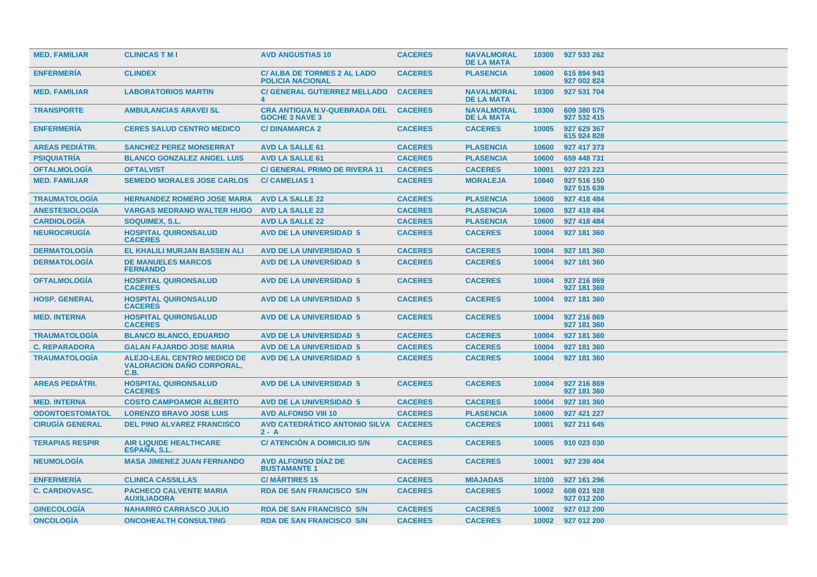| <b>MED. FAMILIAR</b>   | <b>CLINICAS T M I</b>                                                          | <b>AVD ANGUSTIAS 10</b>                                       | <b>CACERES</b> | <b>NAVALMORAL</b><br><b>DE LA MATA</b> | 10300 | 927 533 262                |
|------------------------|--------------------------------------------------------------------------------|---------------------------------------------------------------|----------------|----------------------------------------|-------|----------------------------|
| <b>ENFERMERIA</b>      | <b>CLINDEX</b>                                                                 | <b>C/ ALBA DE TORMES 2 AL LADO</b><br><b>POLICIA NACIONAL</b> | <b>CACERES</b> | <b>PLASENCIA</b>                       | 10600 | 615 894 943<br>927 002 824 |
| <b>MED. FAMILIAR</b>   | <b>LABORATORIOS MARTIN</b>                                                     | <b>C/ GENERAL GUTIERREZ MELLADO</b>                           | <b>CACERES</b> | <b>NAVALMORAL</b><br><b>DE LA MATA</b> | 10300 | 927 531 704                |
| <b>TRANSPORTE</b>      | <b>AMBULANCIAS ARAVEI SL</b>                                                   | <b>CRA ANTIGUA N.V-QUEBRADA DEL</b><br><b>GOCHE 3 NAVE 3</b>  | <b>CACERES</b> | <b>NAVALMORAL</b><br><b>DE LA MATA</b> | 10300 | 609 380 575<br>927 532 415 |
| <b>ENFERMERÍA</b>      | <b>CERES SALUD CENTRO MEDICO</b>                                               | <b>C/DINAMARCA 2</b>                                          | <b>CACERES</b> | <b>CACERES</b>                         | 10005 | 927 629 367<br>615 924 828 |
| <b>AREAS PEDIÁTRI.</b> | <b>SANCHEZ PEREZ MONSERRAT</b>                                                 | <b>AVD LA SALLE 61</b>                                        | <b>CACERES</b> | <b>PLASENCIA</b>                       | 10600 | 927 417 373                |
| <b>PSIQUIATRÍA</b>     | <b>BLANCO GONZALEZ ANGEL LUIS</b>                                              | <b>AVD LA SALLE 61</b>                                        | <b>CACERES</b> | <b>PLASENCIA</b>                       | 10600 | 659 448 731                |
| <b>OFTALMOLOGIA</b>    | <b>OFTALVIST</b>                                                               | <b>C/ GENERAL PRIMO DE RIVERA 11</b>                          | <b>CACERES</b> | <b>CACERES</b>                         | 10001 | 927 223 223                |
| <b>MED. FAMILIAR</b>   | <b>SEMEDO MORALES JOSE CARLOS</b>                                              | <b>C/ CAMELIAS 1</b>                                          | <b>CACERES</b> | <b>MORALEJA</b>                        | 10840 | 927 516 150<br>927 515 639 |
| <b>TRAUMATOLOGÍA</b>   | <b>HERNANDEZ ROMERO JOSE MARIA</b>                                             | <b>AVD LA SALLE 22</b>                                        | <b>CACERES</b> | <b>PLASENCIA</b>                       | 10600 | 927 418 484                |
| <b>ANESTESIOLOGÍA</b>  | <b>VARGAS MEDRANO WALTER HUGO</b>                                              | <b>AVD LA SALLE 22</b>                                        | <b>CACERES</b> | <b>PLASENCIA</b>                       | 10600 | 927 418 484                |
| <b>CARDIOLOGÍA</b>     | <b>SOQUIMEX, S.L.</b>                                                          | <b>AVD LA SALLE 22</b>                                        | <b>CACERES</b> | <b>PLASENCIA</b>                       | 10600 | 927 418 484                |
| <b>NEUROCIRUGÍA</b>    | <b>HOSPITAL QUIRONSALUD</b><br><b>CACERES</b>                                  | <b>AVD DE LA UNIVERSIDAD 5</b>                                | <b>CACERES</b> | <b>CACERES</b>                         | 10004 | 927 181 360                |
| <b>DERMATOLOGÍA</b>    | EL KHALILI MURJAN BASSEN ALI                                                   | <b>AVD DE LA UNIVERSIDAD 5</b>                                | <b>CACERES</b> | <b>CACERES</b>                         | 10004 | 927 181 360                |
| <b>DERMATOLOGÍA</b>    | <b>DE MANUELES MARCOS</b><br><b>FERNANDO</b>                                   | <b>AVD DE LA UNIVERSIDAD 5</b>                                | <b>CACERES</b> | <b>CACERES</b>                         | 10004 | 927 181 360                |
| <b>OFTALMOLOGIA</b>    | <b>HOSPITAL QUIRONSALUD</b><br><b>CACERES</b>                                  | <b>AVD DE LA UNIVERSIDAD 5</b>                                | <b>CACERES</b> | <b>CACERES</b>                         | 10004 | 927 216 869<br>927 181 360 |
| <b>HOSP. GENERAL</b>   | <b>HOSPITAL QUIRONSALUD</b><br><b>CACERES</b>                                  | <b>AVD DE LA UNIVERSIDAD 5</b>                                | <b>CACERES</b> | <b>CACERES</b>                         | 10004 | 927 181 360                |
| <b>MED. INTERNA</b>    | <b>HOSPITAL QUIRONSALUD</b><br><b>CACERES</b>                                  | <b>AVD DE LA UNIVERSIDAD 5</b>                                | <b>CACERES</b> | <b>CACERES</b>                         | 10004 | 927 216 869<br>927 181 360 |
| <b>TRAUMATOLOGÍA</b>   | <b>BLANCO BLANCO, EDUARDO</b>                                                  | <b>AVD DE LA UNIVERSIDAD 5</b>                                | <b>CACERES</b> | <b>CACERES</b>                         | 10004 | 927 181 360                |
| <b>C. REPARADORA</b>   | <b>GALAN FAJARDO JOSE MARIA</b>                                                | <b>AVD DE LA UNIVERSIDAD 5</b>                                | <b>CACERES</b> | <b>CACERES</b>                         | 10004 | 927 181 360                |
| <b>TRAUMATOLOGÍA</b>   | <b>ALEJO-LEAL CENTRO MEDICO DE</b><br><b>VALORACION DANO CORPORAL,</b><br>C.B. | <b>AVD DE LA UNIVERSIDAD 5</b>                                | <b>CACERES</b> | <b>CACERES</b>                         | 10004 | 927 181 360                |
| <b>AREAS PEDIÁTRI.</b> | <b>HOSPITAL QUIRONSALUD</b><br><b>CACERES</b>                                  | <b>AVD DE LA UNIVERSIDAD 5</b>                                | <b>CACERES</b> | <b>CACERES</b>                         | 10004 | 927 216 869<br>927 181 360 |
| <b>MED. INTERNA</b>    | <b>COSTO CAMPOAMOR ALBERTO</b>                                                 | <b>AVD DE LA UNIVERSIDAD 5</b>                                | <b>CACERES</b> | <b>CACERES</b>                         | 10004 | 927 181 360                |
| <b>ODONTOESTOMATOL</b> | <b>LORENZO BRAVO JOSE LUIS</b>                                                 | <b>AVD ALFONSO VIII 10</b>                                    | <b>CACERES</b> | <b>PLASENCIA</b>                       | 10600 | 927 421 227                |
| <b>CIRUGÍA GENERAL</b> | <b>DEL PINO ALVAREZ FRANCISCO</b>                                              | <b>AVD CATEDRÁTICO ANTONIO SILVA</b><br>$2 - A$               | <b>CACERES</b> | <b>CACERES</b>                         | 10001 | 927 211 645                |
| <b>TERAPIAS RESPIR</b> | <b>AIR LIQUIDE HEALTHCARE</b><br><b>ESPANA, S.L.</b>                           | <b>C/ ATENCIÓN A DOMICILIO S/N</b>                            | <b>CACERES</b> | <b>CACERES</b>                         | 10005 | 910 023 030                |
| <b>NEUMOLOGÍA</b>      | <b>MASA JIMENEZ JUAN FERNANDO</b>                                              | <b>AVD ALFONSO DIAZ DE</b><br><b>BUSTAMANTE1</b>              | <b>CACERES</b> | <b>CACERES</b>                         | 10001 | 927 239 404                |
| <b>ENFERMERIA</b>      | <b>CLINICA CASSILLAS</b>                                                       | <b>C/MARTIRES 15</b>                                          | <b>CACERES</b> | <b>MIAJADAS</b>                        | 10100 | 927 161 296                |
| <b>C. CARDIOVASC.</b>  | <b>PACHECO CALVENTE MARIA</b><br><b>AUXILIADORA</b>                            | <b>RDA DE SAN FRANCISCO S/N</b>                               | <b>CACERES</b> | <b>CACERES</b>                         | 10002 | 608 021 928<br>927 012 200 |
| <b>GINECOLOGIA</b>     | <b>NAHARRO CARRASCO JULIO</b>                                                  | <b>RDA DE SAN FRANCISCO S/N</b>                               | <b>CACERES</b> | <b>CACERES</b>                         | 10002 | 927 012 200                |
| <b>ONCOLOGIA</b>       | <b>ONCOHEALTH CONSULTING</b>                                                   | <b>RDA DE SAN FRANCISCO S/N</b>                               | <b>CACERES</b> | <b>CACERES</b>                         | 10002 | 927 012 200                |
|                        |                                                                                |                                                               |                |                                        |       |                            |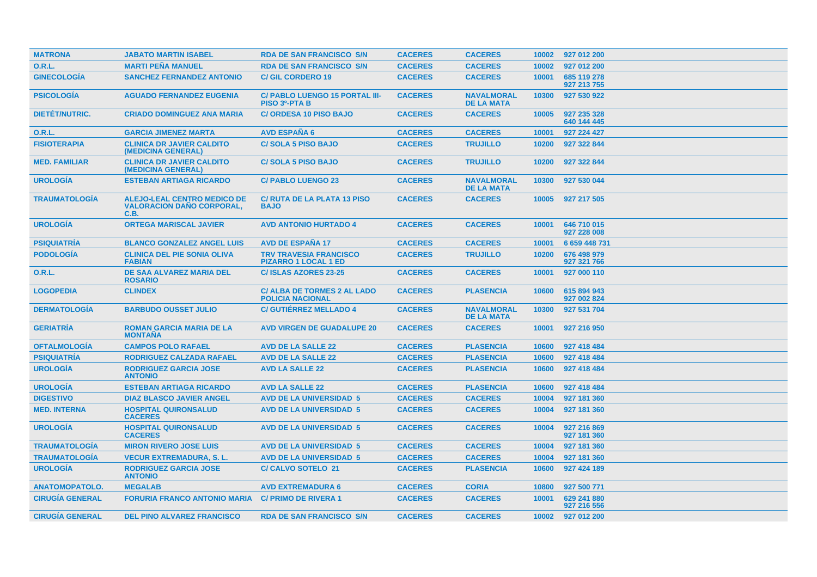| <b>MATRONA</b>         | <b>JABATO MARTIN ISABEL</b>                                                    | <b>RDA DE SAN FRANCISCO S/N</b>                               | <b>CACERES</b> | <b>CACERES</b>                         | 10002 | 927 012 200                |
|------------------------|--------------------------------------------------------------------------------|---------------------------------------------------------------|----------------|----------------------------------------|-------|----------------------------|
| <b>O.R.L.</b>          | <b>MARTI PEÑA MANUEL</b>                                                       | <b>RDA DE SAN FRANCISCO S/N</b>                               | <b>CACERES</b> | <b>CACERES</b>                         | 10002 | 927 012 200                |
| <b>GINECOLOGÍA</b>     | <b>SANCHEZ FERNANDEZ ANTONIO</b>                                               | <b>C/GIL CORDERO 19</b>                                       | <b>CACERES</b> | <b>CACERES</b>                         | 10001 | 685 119 278<br>927 213 755 |
| <b>PSICOLOGÍA</b>      | <b>AGUADO FERNANDEZ EUGENIA</b>                                                | C/ PABLO LUENGO 15 PORTAL III-<br><b>PISO 3º-PTA B</b>        | <b>CACERES</b> | <b>NAVALMORAL</b><br><b>DE LA MATA</b> | 10300 | 927 530 922                |
| <b>DIETET/NUTRIC.</b>  | <b>CRIADO DOMINGUEZ ANA MARIA</b>                                              | <b>C/ORDESA 10 PISO BAJO</b>                                  | <b>CACERES</b> | <b>CACERES</b>                         | 10005 | 927 235 328<br>640 144 445 |
| <b>O.R.L.</b>          | <b>GARCIA JIMENEZ MARTA</b>                                                    | <b>AVD ESPAÑA 6</b>                                           | <b>CACERES</b> | <b>CACERES</b>                         | 10001 | 927 224 427                |
| <b>FISIOTERAPIA</b>    | <b>CLINICA DR JAVIER CALDITO</b><br>(MEDICINA GENERAL)                         | <b>C/SOLA 5 PISO BAJO</b>                                     | <b>CACERES</b> | <b>TRUJILLO</b>                        | 10200 | 927 322 844                |
| <b>MED. FAMILIAR</b>   | <b>CLINICA DR JAVIER CALDITO</b><br>(MEDICINA GENERAL)                         | <b>C/SOLA 5 PISO BAJO</b>                                     | <b>CACERES</b> | <b>TRUJILLO</b>                        | 10200 | 927 322 844                |
| <b>UROLOGÍA</b>        | <b>ESTEBAN ARTIAGA RICARDO</b>                                                 | <b>C/ PABLO LUENGO 23</b>                                     | <b>CACERES</b> | <b>NAVALMORAL</b><br><b>DE LA MATA</b> | 10300 | 927 530 044                |
| <b>TRAUMATOLOGIA</b>   | <b>ALEJO-LEAL CENTRO MEDICO DE</b><br><b>VALORACION DANO CORPORAL,</b><br>C.B. | <b>C/ RUTA DE LA PLATA 13 PISO</b><br><b>BAJO</b>             | <b>CACERES</b> | <b>CACERES</b>                         | 10005 | 927 217 505                |
| <b>UROLOGIA</b>        | <b>ORTEGA MARISCAL JAVIER</b>                                                  | <b>AVD ANTONIO HURTADO 4</b>                                  | <b>CACERES</b> | <b>CACERES</b>                         | 10001 | 646 710 015<br>927 228 008 |
| <b>PSIQUIATRÍA</b>     | <b>BLANCO GONZALEZ ANGEL LUIS</b>                                              | <b>AVD DE ESPAÑA 17</b>                                       | <b>CACERES</b> | <b>CACERES</b>                         | 10001 | 6 659 448 731              |
| <b>PODOLOGÍA</b>       | <b>CLINICA DEL PIE SONIA OLIVA</b><br><b>FABIAN</b>                            | <b>TRV TRAVESIA FRANCISCO</b><br><b>PIZARRO 1 LOCAL 1 ED</b>  | <b>CACERES</b> | <b>TRUJILLO</b>                        | 10200 | 676 498 979<br>927 321 766 |
| <b>O.R.L.</b>          | DE SAA ALVAREZ MARIA DEL<br><b>ROSARIO</b>                                     | <b>C/ISLAS AZORES 23-25</b>                                   | <b>CACERES</b> | <b>CACERES</b>                         | 10001 | 927 000 110                |
| <b>LOGOPEDIA</b>       | <b>CLINDEX</b>                                                                 | <b>C/ ALBA DE TORMES 2 AL LADO</b><br><b>POLICIA NACIONAL</b> | <b>CACERES</b> | <b>PLASENCIA</b>                       | 10600 | 615 894 943<br>927 002 824 |
| <b>DERMATOLOGIA</b>    | <b>BARBUDO OUSSET JULIO</b>                                                    | <b>C/ GUTIERREZ MELLADO 4</b>                                 | <b>CACERES</b> | <b>NAVALMORAL</b><br><b>DE LA MATA</b> | 10300 | 927 531 704                |
| <b>GERIATRÍA</b>       | <b>ROMAN GARCIA MARIA DE LA</b><br><b>MONTANA</b>                              | <b>AVD VIRGEN DE GUADALUPE 20</b>                             | <b>CACERES</b> | <b>CACERES</b>                         | 10001 | 927 216 950                |
| <b>OFTALMOLOGIA</b>    | <b>CAMPOS POLO RAFAEL</b>                                                      | <b>AVD DE LA SALLE 22</b>                                     | <b>CACERES</b> | <b>PLASENCIA</b>                       | 10600 | 927 418 484                |
| <b>PSIQUIATRÍA</b>     | <b>RODRIGUEZ CALZADA RAFAEL</b>                                                | <b>AVD DE LA SALLE 22</b>                                     | <b>CACERES</b> | <b>PLASENCIA</b>                       | 10600 | 927 418 484                |
| <b>UROLOGÍA</b>        | <b>RODRIGUEZ GARCIA JOSE</b><br><b>ANTONIO</b>                                 | <b>AVD LA SALLE 22</b>                                        | <b>CACERES</b> | <b>PLASENCIA</b>                       | 10600 | 927 418 484                |
| <b>UROLOGÍA</b>        | <b>ESTEBAN ARTIAGA RICARDO</b>                                                 | <b>AVD LA SALLE 22</b>                                        | <b>CACERES</b> | <b>PLASENCIA</b>                       | 10600 | 927 418 484                |
| <b>DIGESTIVO</b>       | <b>DIAZ BLASCO JAVIER ANGEL</b>                                                | <b>AVD DE LA UNIVERSIDAD 5</b>                                | <b>CACERES</b> | <b>CACERES</b>                         | 10004 | 927 181 360                |
| <b>MED. INTERNA</b>    | <b>HOSPITAL QUIRONSALUD</b><br><b>CACERES</b>                                  | <b>AVD DE LA UNIVERSIDAD 5</b>                                | <b>CACERES</b> | <b>CACERES</b>                         | 10004 | 927 181 360                |
| <b>UROLOGIA</b>        | <b>HOSPITAL QUIRONSALUD</b><br><b>CACERES</b>                                  | <b>AVD DE LA UNIVERSIDAD 5</b>                                | <b>CACERES</b> | <b>CACERES</b>                         | 10004 | 927 216 869<br>927 181 360 |
| <b>TRAUMATOLOGÍA</b>   | <b>MIRON RIVERO JOSE LUIS</b>                                                  | <b>AVD DE LA UNIVERSIDAD 5</b>                                | <b>CACERES</b> | <b>CACERES</b>                         | 10004 | 927 181 360                |
| <b>TRAUMATOLOGÍA</b>   | <b>VECUR EXTREMADURA, S.L.</b>                                                 | <b>AVD DE LA UNIVERSIDAD 5</b>                                | <b>CACERES</b> | <b>CACERES</b>                         | 10004 | 927 181 360                |
| <b>UROLOGÍA</b>        | <b>RODRIGUEZ GARCIA JOSE</b><br><b>ANTONIO</b>                                 | <b>C/ CALVO SOTELO 21</b>                                     | <b>CACERES</b> | <b>PLASENCIA</b>                       | 10600 | 927 424 189                |
| <b>ANATOMOPATOLO.</b>  | <b>MEGALAB</b>                                                                 | <b>AVD EXTREMADURA 6</b>                                      | <b>CACERES</b> | <b>CORIA</b>                           | 10800 | 927 500 771                |
| <b>CIRUGIA GENERAL</b> | <b>FORURIA FRANCO ANTONIO MARIA</b>                                            | <b>C/ PRIMO DE RIVERA 1</b>                                   | <b>CACERES</b> | <b>CACERES</b>                         | 10001 | 629 241 880<br>927 216 556 |
| <b>CIRUGÍA GENERAL</b> | <b>DEL PINO ALVAREZ FRANCISCO</b>                                              | <b>RDA DE SAN FRANCISCO S/N</b>                               | <b>CACERES</b> | <b>CACERES</b>                         |       | 10002 927 012 200          |
|                        |                                                                                |                                                               |                |                                        |       |                            |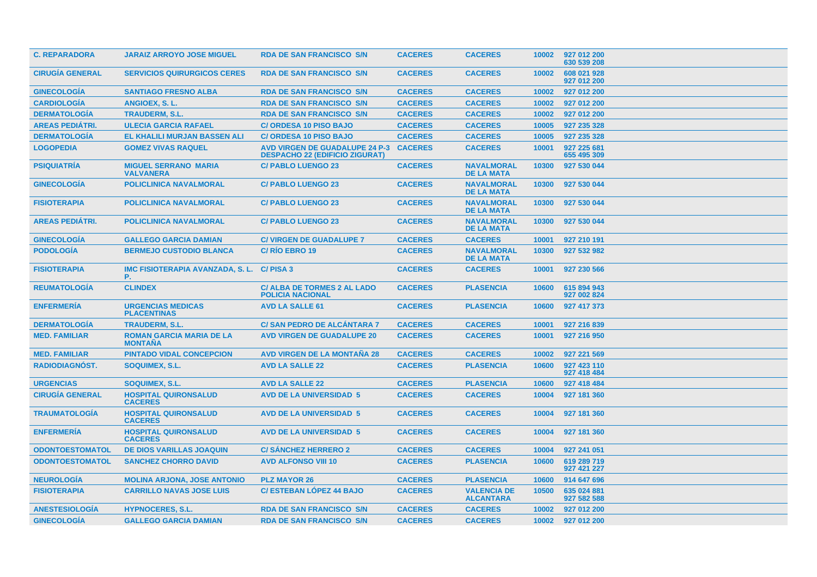| <b>C. REPARADORA</b>   | <b>JARAIZ ARROYO JOSE MIGUEL</b>                  | <b>RDA DE SAN FRANCISCO S/N</b>                                                | <b>CACERES</b> | <b>CACERES</b>                         | 10002 | 927 012 200<br>630 539 208 |
|------------------------|---------------------------------------------------|--------------------------------------------------------------------------------|----------------|----------------------------------------|-------|----------------------------|
| <b>CIRUGÍA GENERAL</b> | <b>SERVICIOS QUIRURGICOS CERES</b>                | <b>RDA DE SAN FRANCISCO S/N</b>                                                | <b>CACERES</b> | <b>CACERES</b>                         | 10002 | 608 021 928<br>927 012 200 |
| <b>GINECOLOGIA</b>     | <b>SANTIAGO FRESNO ALBA</b>                       | <b>RDA DE SAN FRANCISCO S/N</b>                                                | <b>CACERES</b> | <b>CACERES</b>                         | 10002 | 927 012 200                |
| <b>CARDIOLOGÍA</b>     | ANGIOEX, S.L.                                     | <b>RDA DE SAN FRANCISCO S/N</b>                                                | <b>CACERES</b> | <b>CACERES</b>                         | 10002 | 927 012 200                |
| <b>DERMATOLOGÍA</b>    | <b>TRAUDERM. S.L.</b>                             | <b>RDA DE SAN FRANCISCO S/N</b>                                                | <b>CACERES</b> | <b>CACERES</b>                         | 10002 | 927 012 200                |
| <b>AREAS PEDIÁTRI.</b> | <b>ULECIA GARCIA RAFAEL</b>                       | <b>C/ORDESA 10 PISO BAJO</b>                                                   | <b>CACERES</b> | <b>CACERES</b>                         | 10005 | 927 235 328                |
| <b>DERMATOLOGÍA</b>    | EL KHALILI MURJAN BASSEN ALI                      | <b>C/ ORDESA 10 PISO BAJO</b>                                                  | <b>CACERES</b> | <b>CACERES</b>                         | 10005 | 927 235 328                |
| <b>LOGOPEDIA</b>       | <b>GOMEZ VIVAS RAQUEL</b>                         | <b>AVD VIRGEN DE GUADALUPE 24 P-3</b><br><b>DESPACHO 22 (EDIFICIO ZIGURAT)</b> | <b>CACERES</b> | <b>CACERES</b>                         | 10001 | 927 225 681<br>655 495 309 |
| <b>PSIQUIATRÍA</b>     | <b>MIGUEL SERRANO MARIA</b><br><b>VALVANERA</b>   | <b>C/ PABLO LUENGO 23</b>                                                      | <b>CACERES</b> | <b>NAVALMORAL</b><br><b>DE LA MATA</b> | 10300 | 927 530 044                |
| <b>GINECOLOGIA</b>     | <b>POLICLINICA NAVALMORAL</b>                     | <b>C/PABLO LUENGO 23</b>                                                       | <b>CACERES</b> | <b>NAVALMORAL</b><br><b>DE LA MATA</b> | 10300 | 927 530 044                |
| <b>FISIOTERAPIA</b>    | <b>POLICLINICA NAVALMORAL</b>                     | <b>C/PABLO LUENGO 23</b>                                                       | <b>CACERES</b> | <b>NAVALMORAL</b><br><b>DE LA MATA</b> | 10300 | 927 530 044                |
| <b>AREAS PEDIATRI.</b> | <b>POLICLINICA NAVALMORAL</b>                     | <b>C/ PABLO LUENGO 23</b>                                                      | <b>CACERES</b> | <b>NAVALMORAL</b><br><b>DE LA MATA</b> | 10300 | 927 530 044                |
| <b>GINECOLOGÍA</b>     | <b>GALLEGO GARCIA DAMIAN</b>                      | <b>C/ VIRGEN DE GUADALUPE 7</b>                                                | <b>CACERES</b> | <b>CACERES</b>                         | 10001 | 927 210 191                |
| <b>PODOLOGIA</b>       | <b>BERMEJO CUSTODIO BLANCA</b>                    | C/RIO EBRO 19                                                                  | <b>CACERES</b> | <b>NAVALMORAL</b><br><b>DE LA MATA</b> | 10300 | 927 532 982                |
| <b>FISIOTERAPIA</b>    | IMC FISIOTERAPIA AVANZADA, S. L.<br>Р.            | C/PISA 3                                                                       | <b>CACERES</b> | <b>CACERES</b>                         | 10001 | 927 230 566                |
| <b>REUMATOLOGIA</b>    | <b>CLINDEX</b>                                    | <b>C/ ALBA DE TORMES 2 AL LADO</b><br><b>POLICIA NACIONAL</b>                  | <b>CACERES</b> | <b>PLASENCIA</b>                       | 10600 | 615 894 943<br>927 002 824 |
| <b>ENFERMERÍA</b>      | <b>URGENCIAS MEDICAS</b><br><b>PLACENTINAS</b>    | <b>AVD LA SALLE 61</b>                                                         | <b>CACERES</b> | <b>PLASENCIA</b>                       | 10600 | 927 417 373                |
| <b>DERMATOLOGIA</b>    | <b>TRAUDERM, S.L.</b>                             | <b>C/SAN PEDRO DE ALCANTARA 7</b>                                              | <b>CACERES</b> | <b>CACERES</b>                         | 10001 | 927 216 839                |
| <b>MED. FAMILIAR</b>   | <b>ROMAN GARCIA MARIA DE LA</b><br><b>MONTAÑA</b> | <b>AVD VIRGEN DE GUADALUPE 20</b>                                              | <b>CACERES</b> | <b>CACERES</b>                         | 10001 | 927 216 950                |
| <b>MED. FAMILIAR</b>   | <b>PINTADO VIDAL CONCEPCION</b>                   | <b>AVD VIRGEN DE LA MONTAÑA 28</b>                                             | <b>CACERES</b> | <b>CACERES</b>                         | 10002 | 927 221 569                |
| <b>RADIODIAGNÓST.</b>  | SOQUIMEX, S.L.                                    | <b>AVD LA SALLE 22</b>                                                         | <b>CACERES</b> | <b>PLASENCIA</b>                       | 10600 | 927 423 110<br>927 418 484 |
| <b>URGENCIAS</b>       | SOQUIMEX, S.L.                                    | <b>AVD LA SALLE 22</b>                                                         | <b>CACERES</b> | <b>PLASENCIA</b>                       | 10600 | 927 418 484                |
| <b>CIRUGIA GENERAL</b> | <b>HOSPITAL QUIRONSALUD</b><br><b>CACERES</b>     | <b>AVD DE LA UNIVERSIDAD 5</b>                                                 | <b>CACERES</b> | <b>CACERES</b>                         | 10004 | 927 181 360                |
| <b>TRAUMATOLOGÍA</b>   | <b>HOSPITAL QUIRONSALUD</b><br><b>CACERES</b>     | <b>AVD DE LA UNIVERSIDAD 5</b>                                                 | <b>CACERES</b> | <b>CACERES</b>                         | 10004 | 927 181 360                |
| <b>ENFERMERÍA</b>      | <b>HOSPITAL QUIRONSALUD</b><br><b>CACERES</b>     | <b>AVD DE LA UNIVERSIDAD 5</b>                                                 | <b>CACERES</b> | <b>CACERES</b>                         | 10004 | 927 181 360                |
| <b>ODONTOESTOMATOL</b> | <b>DE DIOS VARILLAS JOAQUIN</b>                   | <b>C/SANCHEZ HERRERO 2</b>                                                     | <b>CACERES</b> | <b>CACERES</b>                         | 10004 | 927 241 051                |
| <b>ODONTOESTOMATOL</b> | <b>SANCHEZ CHORRO DAVID</b>                       | <b>AVD ALFONSO VIII 10</b>                                                     | <b>CACERES</b> | <b>PLASENCIA</b>                       | 10600 | 619 289 719<br>927 421 227 |
| <b>NEUROLOGÍA</b>      | <b>MOLINA ARJONA, JOSE ANTONIO</b>                | <b>PLZ MAYOR 26</b>                                                            | <b>CACERES</b> | <b>PLASENCIA</b>                       | 10600 | 914 647 696                |
| <b>FISIOTERAPIA</b>    | <b>CARRILLO NAVAS JOSE LUIS</b>                   | <b>C/ ESTEBAN LÓPEZ 44 BAJO</b>                                                | <b>CACERES</b> | <b>VALENCIA DE</b><br><b>ALCANTARA</b> | 10500 | 635 024 881<br>927 582 588 |
| <b>ANESTESIOLOGIA</b>  | <b>HYPNOCERES, S.L.</b>                           | <b>RDA DE SAN FRANCISCO S/N</b>                                                | <b>CACERES</b> | <b>CACERES</b>                         | 10002 | 927 012 200                |
| <b>GINECOLOGIA</b>     | <b>GALLEGO GARCIA DAMIAN</b>                      | <b>RDA DE SAN FRANCISCO S/N</b>                                                | <b>CACERES</b> | <b>CACERES</b>                         | 10002 | 927 012 200                |
|                        |                                                   |                                                                                |                |                                        |       |                            |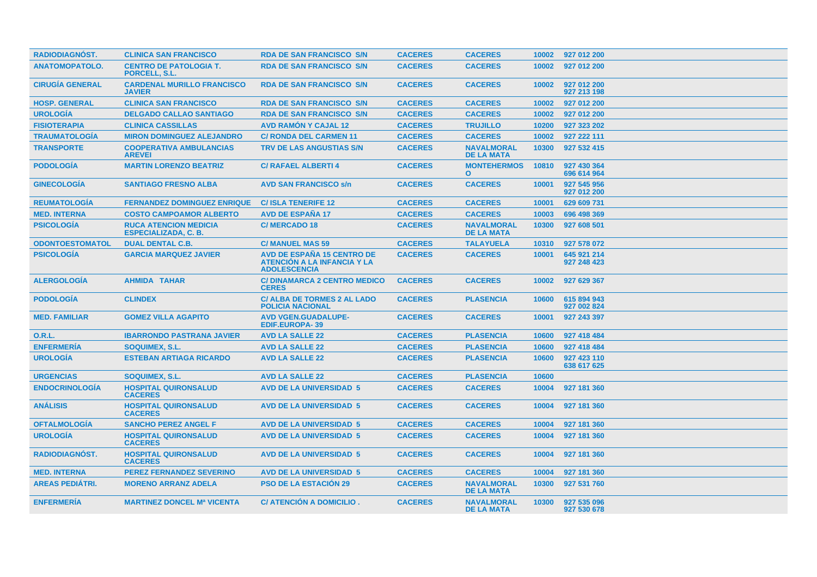| <b>RADIODIAGNÓST.</b>  | <b>CLINICA SAN FRANCISCO</b>                                | <b>RDA DE SAN FRANCISCO S/N</b>                                                  | <b>CACERES</b> | <b>CACERES</b>                         |       | 10002 927 012 200          |
|------------------------|-------------------------------------------------------------|----------------------------------------------------------------------------------|----------------|----------------------------------------|-------|----------------------------|
| <b>ANATOMOPATOLO.</b>  | <b>CENTRO DE PATOLOGIA T.</b><br>PORCELL, S.L.              | <b>RDA DE SAN FRANCISCO S/N</b>                                                  | <b>CACERES</b> | <b>CACERES</b>                         | 10002 | 927 012 200                |
| <b>CIRUGÍA GENERAL</b> | <b>CARDENAL MURILLO FRANCISCO</b><br><b>JAVIER</b>          | <b>RDA DE SAN FRANCISCO S/N</b>                                                  | <b>CACERES</b> | <b>CACERES</b>                         | 10002 | 927 012 200<br>927 213 198 |
| <b>HOSP. GENERAL</b>   | <b>CLINICA SAN FRANCISCO</b>                                | <b>RDA DE SAN FRANCISCO S/N</b>                                                  | <b>CACERES</b> | <b>CACERES</b>                         | 10002 | 927 012 200                |
| <b>UROLOGÍA</b>        | <b>DELGADO CALLAO SANTIAGO</b>                              | <b>RDA DE SAN FRANCISCO S/N</b>                                                  | <b>CACERES</b> | <b>CACERES</b>                         | 10002 | 927 012 200                |
| <b>FISIOTERAPIA</b>    | <b>CLINICA CASSILLAS</b>                                    | <b>AVD RAMON Y CAJAL 12</b>                                                      | <b>CACERES</b> | <b>TRUJILLO</b>                        | 10200 | 927 323 202                |
| <b>TRAUMATOLOGÍA</b>   | <b>MIRON DOMINGUEZ ALEJANDRO</b>                            | <b>C/ RONDA DEL CARMEN 11</b>                                                    | <b>CACERES</b> | <b>CACERES</b>                         | 10002 | 927 222 111                |
| <b>TRANSPORTE</b>      | <b>COOPERATIVA AMBULANCIAS</b><br><b>AREVEI</b>             | <b>TRV DE LAS ANGUSTIAS S/N</b>                                                  | <b>CACERES</b> | <b>NAVALMORAL</b><br><b>DE LA MATA</b> | 10300 | 927 532 415                |
| <b>PODOLOGIA</b>       | <b>MARTIN LORENZO BEATRIZ</b>                               | <b>C/ RAFAEL ALBERTI 4</b>                                                       | <b>CACERES</b> | <b>MONTEHERMOS</b><br>$\mathbf{O}$     | 10810 | 927 430 364<br>696 614 964 |
| <b>GINECOLOGÍA</b>     | <b>SANTIAGO FRESNO ALBA</b>                                 | <b>AVD SAN FRANCISCO s/n</b>                                                     | <b>CACERES</b> | <b>CACERES</b>                         | 10001 | 927 545 956<br>927 012 200 |
| <b>REUMATOLOGIA</b>    | <b>FERNANDEZ DOMINGUEZ ENRIQUE</b>                          | <b>C/ISLA TENERIFE 12</b>                                                        | <b>CACERES</b> | <b>CACERES</b>                         | 10001 | 629 609 731                |
| <b>MED. INTERNA</b>    | <b>COSTO CAMPOAMOR ALBERTO</b>                              | <b>AVD DE ESPAÑA 17</b>                                                          | <b>CACERES</b> | <b>CACERES</b>                         | 10003 | 696 498 369                |
| <b>PSICOLOGÍA</b>      | <b>RUCA ATENCION MEDICIA</b><br><b>ESPECIALIZADA, C. B.</b> | <b>C/MERCADO 18</b>                                                              | <b>CACERES</b> | <b>NAVALMORAL</b><br><b>DE LA MATA</b> | 10300 | 927 608 501                |
| <b>ODONTOESTOMATOL</b> | <b>DUAL DENTAL C.B.</b>                                     | <b>C/ MANUEL MAS 59</b>                                                          | <b>CACERES</b> | <b>TALAYUELA</b>                       | 10310 | 927 578 072                |
| <b>PSICOLOGIA</b>      | <b>GARCIA MARQUEZ JAVIER</b>                                | AVD DE ESPAÑA 15 CENTRO DE<br>ATENCIÓN A LA INFANCIA Y LA<br><b>ADOLESCENCIA</b> | <b>CACERES</b> | <b>CACERES</b>                         | 10001 | 645 921 214<br>927 248 423 |
| <b>ALERGOLOGIA</b>     | <b>AHMIDA TAHAR</b>                                         | <b>C/DINAMARCA 2 CENTRO MEDICO</b><br><b>CERES</b>                               | <b>CACERES</b> | <b>CACERES</b>                         | 10002 | 927 629 367                |
| <b>PODOLOGÍA</b>       | <b>CLINDEX</b>                                              | <b>C/ ALBA DE TORMES 2 AL LADO</b><br><b>POLICIA NACIONAL</b>                    | <b>CACERES</b> | <b>PLASENCIA</b>                       | 10600 | 615 894 943<br>927 002 824 |
| <b>MED. FAMILIAR</b>   | <b>GOMEZ VILLA AGAPITO</b>                                  | <b>AVD VGEN.GUADALUPE-</b><br><b>EDIF.EUROPA-39</b>                              | <b>CACERES</b> | <b>CACERES</b>                         | 10001 | 927 243 397                |
| 0.R.L.                 | <b>IBARRONDO PASTRANA JAVIER</b>                            | <b>AVD LA SALLE 22</b>                                                           | <b>CACERES</b> | <b>PLASENCIA</b>                       | 10600 | 927 418 484                |
| <b>ENFERMERÍA</b>      | <b>SOQUIMEX, S.L.</b>                                       | <b>AVD LA SALLE 22</b>                                                           | <b>CACERES</b> | <b>PLASENCIA</b>                       | 10600 | 927 418 484                |
| <b>UROLOGÍA</b>        | <b>ESTEBAN ARTIAGA RICARDO</b>                              | <b>AVD LA SALLE 22</b>                                                           | <b>CACERES</b> | <b>PLASENCIA</b>                       | 10600 | 927 423 110<br>638 617 625 |
| <b>URGENCIAS</b>       | SOQUIMEX, S.L.                                              | <b>AVD LA SALLE 22</b>                                                           | <b>CACERES</b> | <b>PLASENCIA</b>                       | 10600 |                            |
| <b>ENDOCRINOLOGIA</b>  | <b>HOSPITAL QUIRONSALUD</b><br><b>CACERES</b>               | <b>AVD DE LA UNIVERSIDAD 5</b>                                                   | <b>CACERES</b> | <b>CACERES</b>                         | 10004 | 927 181 360                |
| <b>ANÁLISIS</b>        | <b>HOSPITAL QUIRONSALUD</b><br><b>CACERES</b>               | <b>AVD DE LA UNIVERSIDAD 5</b>                                                   | <b>CACERES</b> | <b>CACERES</b>                         | 10004 | 927 181 360                |
| <b>OFTALMOLOGÍA</b>    | <b>SANCHO PEREZ ANGEL F</b>                                 | <b>AVD DE LA UNIVERSIDAD 5</b>                                                   | <b>CACERES</b> | <b>CACERES</b>                         | 10004 | 927 181 360                |
| <b>UROLOGIA</b>        | <b>HOSPITAL QUIRONSALUD</b><br><b>CACERES</b>               | <b>AVD DE LA UNIVERSIDAD 5</b>                                                   | <b>CACERES</b> | <b>CACERES</b>                         | 10004 | 927 181 360                |
| <b>RADIODIAGNÓST.</b>  | <b>HOSPITAL QUIRONSALUD</b><br><b>CACERES</b>               | <b>AVD DE LA UNIVERSIDAD 5</b>                                                   | <b>CACERES</b> | <b>CACERES</b>                         | 10004 | 927 181 360                |
| <b>MED. INTERNA</b>    | <b>PEREZ FERNANDEZ SEVERINO</b>                             | <b>AVD DE LA UNIVERSIDAD 5</b>                                                   | <b>CACERES</b> | <b>CACERES</b>                         | 10004 | 927 181 360                |
| <b>AREAS PEDIÁTRI.</b> | <b>MORENO ARRANZ ADELA</b>                                  | <b>PSO DE LA ESTACIÓN 29</b>                                                     | <b>CACERES</b> | <b>NAVALMORAL</b><br><b>DE LA MATA</b> | 10300 | 927 531 760                |
| <b>ENFERMERIA</b>      | <b>MARTINEZ DONCEL Mª VICENTA</b>                           | C/ ATENCION A DOMICILIO.                                                         | <b>CACERES</b> | <b>NAVALMORAL</b><br><b>DE LA MATA</b> | 10300 | 927 535 096<br>927 530 678 |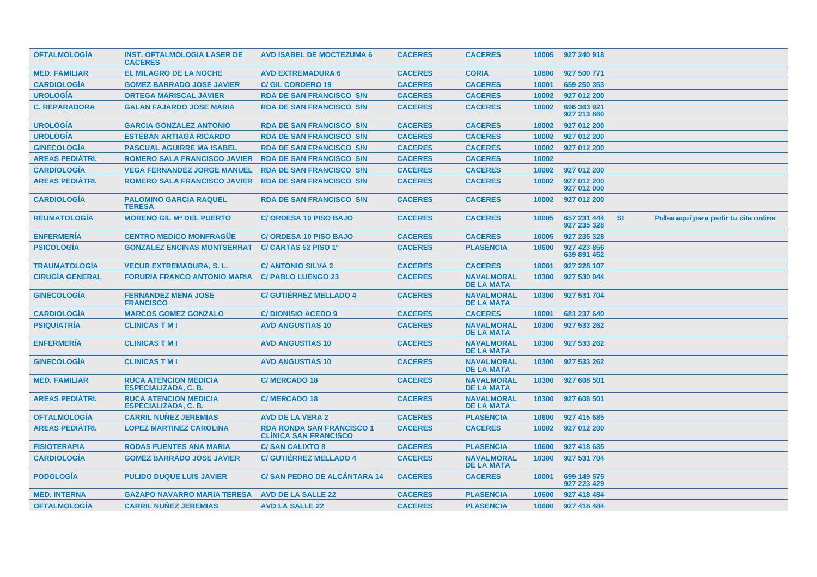| <b>OFTALMOLOGÍA</b>    | <b>INST. OFTALMOLOGIA LASER DE</b><br><b>CACERES</b>        | <b>AVD ISABEL DE MOCTEZUMA 6</b>                                 | <b>CACERES</b> | <b>CACERES</b>                         | 10005 | 927 240 918                |           |                                      |  |
|------------------------|-------------------------------------------------------------|------------------------------------------------------------------|----------------|----------------------------------------|-------|----------------------------|-----------|--------------------------------------|--|
| <b>MED. FAMILIAR</b>   | <b>EL MILAGRO DE LA NOCHE</b>                               | <b>AVD EXTREMADURA 6</b>                                         | <b>CACERES</b> | <b>CORIA</b>                           | 10800 | 927 500 771                |           |                                      |  |
| <b>CARDIOLOGIA</b>     | <b>GOMEZ BARRADO JOSE JAVIER</b>                            | <b>C/GIL CORDERO 19</b>                                          | <b>CACERES</b> | <b>CACERES</b>                         | 10001 | 659 250 353                |           |                                      |  |
| <b>UROLOGÍA</b>        | <b>ORTEGA MARISCAL JAVIER</b>                               | <b>RDA DE SAN FRANCISCO S/N</b>                                  | <b>CACERES</b> | <b>CACERES</b>                         | 10002 | 927 012 200                |           |                                      |  |
| <b>C. REPARADORA</b>   | <b>GALAN FAJARDO JOSE MARIA</b>                             | <b>RDA DE SAN FRANCISCO S/N</b>                                  | <b>CACERES</b> | <b>CACERES</b>                         | 10002 | 696 363 921<br>927 213 860 |           |                                      |  |
| <b>UROLOGÍA</b>        | <b>GARCIA GONZALEZ ANTONIO</b>                              | <b>RDA DE SAN FRANCISCO S/N</b>                                  | <b>CACERES</b> | <b>CACERES</b>                         | 10002 | 927 012 200                |           |                                      |  |
| <b>UROLOGÍA</b>        | <b>ESTEBAN ARTIAGA RICARDO</b>                              | <b>RDA DE SAN FRANCISCO S/N</b>                                  | <b>CACERES</b> | <b>CACERES</b>                         | 10002 | 927 012 200                |           |                                      |  |
| <b>GINECOLOGÍA</b>     | <b>PASCUAL AGUIRRE MA ISABEL</b>                            | <b>RDA DE SAN FRANCISCO S/N</b>                                  | <b>CACERES</b> | <b>CACERES</b>                         | 10002 | 927 012 200                |           |                                      |  |
| <b>AREAS PEDIÁTRI.</b> | <b>ROMERO SALA FRANCISCO JAVIER</b>                         | <b>RDA DE SAN FRANCISCO S/N</b>                                  | <b>CACERES</b> | <b>CACERES</b>                         | 10002 |                            |           |                                      |  |
| <b>CARDIOLOGÍA</b>     | <b>VEGA FERNANDEZ JORGE MANUEL</b>                          | <b>RDA DE SAN FRANCISCO S/N</b>                                  | <b>CACERES</b> | <b>CACERES</b>                         | 10002 | 927 012 200                |           |                                      |  |
| <b>AREAS PEDIÁTRI.</b> | <b>ROMERO SALA FRANCISCO JAVIER</b>                         | <b>RDA DE SAN FRANCISCO S/N</b>                                  | <b>CACERES</b> | <b>CACERES</b>                         | 10002 | 927 012 200<br>927 012 000 |           |                                      |  |
| <b>CARDIOLOGÍA</b>     | <b>PALOMINO GARCIA RAQUEL</b><br><b>TERESA</b>              | <b>RDA DE SAN FRANCISCO S/N</b>                                  | <b>CACERES</b> | <b>CACERES</b>                         | 10002 | 927 012 200                |           |                                      |  |
| <b>REUMATOLOGIA</b>    | <b>MORENO GIL Ma DEL PUERTO</b>                             | <b>C/ ORDESA 10 PISO BAJO</b>                                    | <b>CACERES</b> | <b>CACERES</b>                         | 10005 | 657 231 444<br>927 235 328 | <b>SI</b> | Pulsa aquí para pedir tu cita online |  |
| <b>ENFERMERÍA</b>      | <b>CENTRO MEDICO MONFRAGÜE</b>                              | <b>C/ ORDESA 10 PISO BAJO</b>                                    | <b>CACERES</b> | <b>CACERES</b>                         | 10005 | 927 235 328                |           |                                      |  |
| <b>PSICOLOGIA</b>      | <b>GONZALEZ ENCINAS MONTSERRAT</b>                          | C/ CARTAS 52 PISO 1º                                             | <b>CACERES</b> | <b>PLASENCIA</b>                       | 10600 | 927 423 856<br>639 891 452 |           |                                      |  |
| <b>TRAUMATOLOGÍA</b>   | <b>VECUR EXTREMADURA, S. L.</b>                             | <b>C/ ANTONIO SILVA 2</b>                                        | <b>CACERES</b> | <b>CACERES</b>                         | 10001 | 927 228 107                |           |                                      |  |
| <b>CIRUGÍA GENERAL</b> | <b>FORURIA FRANCO ANTONIO MARIA</b>                         | <b>C/ PABLO LUENGO 23</b>                                        | <b>CACERES</b> | <b>NAVALMORAL</b><br><b>DE LA MATA</b> | 10300 | 927 530 044                |           |                                      |  |
| <b>GINECOLOGÍA</b>     | <b>FERNANDEZ MENA JOSE</b><br><b>FRANCISCO</b>              | <b>C/ GUTIERREZ MELLADO 4</b>                                    | <b>CACERES</b> | <b>NAVALMORAL</b><br><b>DE LA MATA</b> | 10300 | 927 531 704                |           |                                      |  |
| <b>CARDIOLOGIA</b>     | <b>MARCOS GOMEZ GONZALO</b>                                 | <b>C/DIONISIO ACEDO 9</b>                                        | <b>CACERES</b> | <b>CACERES</b>                         | 10001 | 681 237 640                |           |                                      |  |
| <b>PSIQUIATRÍA</b>     | <b>CLINICAS T M I</b>                                       | <b>AVD ANGUSTIAS 10</b>                                          | <b>CACERES</b> | <b>NAVALMORAL</b><br><b>DE LA MATA</b> | 10300 | 927 533 262                |           |                                      |  |
| <b>ENFERMERÍA</b>      | <b>CLINICAS T M I</b>                                       | <b>AVD ANGUSTIAS 10</b>                                          | <b>CACERES</b> | <b>NAVALMORAL</b><br><b>DE LA MATA</b> | 10300 | 927 533 262                |           |                                      |  |
| <b>GINECOLOGIA</b>     | <b>CLINICAS T M I</b>                                       | <b>AVD ANGUSTIAS 10</b>                                          | <b>CACERES</b> | <b>NAVALMORAL</b><br><b>DE LA MATA</b> | 10300 | 927 533 262                |           |                                      |  |
| <b>MED. FAMILIAR</b>   | <b>RUCA ATENCION MEDICIA</b><br><b>ESPECIALIZADA, C. B.</b> | <b>C/MERCADO 18</b>                                              | <b>CACERES</b> | <b>NAVALMORAL</b><br><b>DE LA MATA</b> | 10300 | 927 608 501                |           |                                      |  |
| <b>AREAS PEDIÁTRI.</b> | <b>RUCA ATENCION MEDICIA</b><br><b>ESPECIALIZADA, C. B.</b> | <b>C/MERCADO 18</b>                                              | <b>CACERES</b> | <b>NAVALMORAL</b><br><b>DE LA MATA</b> | 10300 | 927 608 501                |           |                                      |  |
| <b>OFTALMOLOGIA</b>    | <b>CARRIL NUNEZ JEREMIAS</b>                                | <b>AVD DE LA VERA 2</b>                                          | <b>CACERES</b> | <b>PLASENCIA</b>                       | 10600 | 927 415 685                |           |                                      |  |
| <b>AREAS PEDIÁTRI.</b> | <b>LOPEZ MARTINEZ CAROLINA</b>                              | <b>RDA RONDA SAN FRANCISCO 1</b><br><b>CLINICA SAN FRANCISCO</b> | <b>CACERES</b> | <b>CACERES</b>                         | 10002 | 927 012 200                |           |                                      |  |
| <b>FISIOTERAPIA</b>    | <b>RODAS FUENTES ANA MARIA</b>                              | <b>C/SAN CALIXTO 8</b>                                           | <b>CACERES</b> | <b>PLASENCIA</b>                       | 10600 | 927 418 635                |           |                                      |  |
| <b>CARDIOLOGÍA</b>     | <b>GOMEZ BARRADO JOSE JAVIER</b>                            | <b>C/ GUTIÉRREZ MELLADO 4</b>                                    | <b>CACERES</b> | <b>NAVALMORAL</b><br><b>DE LA MATA</b> | 10300 | 927 531 704                |           |                                      |  |
| <b>PODOLOGÍA</b>       | <b>PULIDO DUQUE LUIS JAVIER</b>                             | <b>C/SAN PEDRO DE ALCÁNTARA 14</b>                               | <b>CACERES</b> | <b>CACERES</b>                         | 10001 | 699 149 575<br>927 223 429 |           |                                      |  |
| <b>MED. INTERNA</b>    | <b>GAZAPO NAVARRO MARIA TERESA</b>                          | <b>AVD DE LA SALLE 22</b>                                        | <b>CACERES</b> | <b>PLASENCIA</b>                       | 10600 | 927 418 484                |           |                                      |  |
| <b>OFTALMOLOGIA</b>    | <b>CARRIL NUNEZ JEREMIAS</b>                                | <b>AVD LA SALLE 22</b>                                           | <b>CACERES</b> | <b>PLASENCIA</b>                       | 10600 | 927 418 484                |           |                                      |  |
|                        |                                                             |                                                                  |                |                                        |       |                            |           |                                      |  |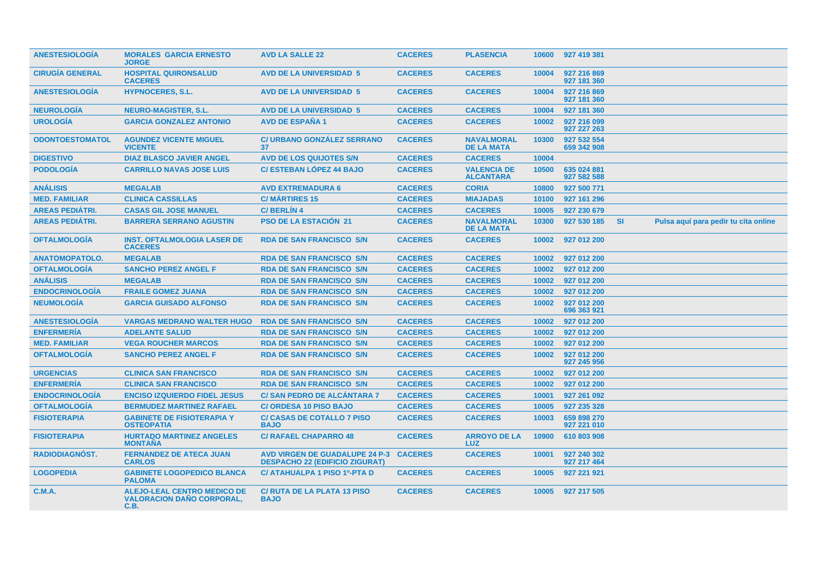| <b>ANESTESIOLOGIA</b>  | <b>MORALES GARCIA ERNESTO</b><br><b>JORGE</b>                                  | <b>AVD LA SALLE 22</b>                                                          | <b>CACERES</b> | <b>PLASENCIA</b>                       | 10600 | 927 419 381                |           |                                      |  |
|------------------------|--------------------------------------------------------------------------------|---------------------------------------------------------------------------------|----------------|----------------------------------------|-------|----------------------------|-----------|--------------------------------------|--|
| <b>CIRUGÍA GENERAL</b> | <b>HOSPITAL QUIRONSALUD</b><br><b>CACERES</b>                                  | <b>AVD DE LA UNIVERSIDAD 5</b>                                                  | <b>CACERES</b> | <b>CACERES</b>                         | 10004 | 927 216 869<br>927 181 360 |           |                                      |  |
| <b>ANESTESIOLOGÍA</b>  | <b>HYPNOCERES, S.L.</b>                                                        | <b>AVD DE LA UNIVERSIDAD 5</b>                                                  | <b>CACERES</b> | <b>CACERES</b>                         | 10004 | 927 216 869<br>927 181 360 |           |                                      |  |
| <b>NEUROLOGÍA</b>      | <b>NEURO-MAGISTER, S.L.</b>                                                    | <b>AVD DE LA UNIVERSIDAD 5</b>                                                  | <b>CACERES</b> | <b>CACERES</b>                         | 10004 | 927 181 360                |           |                                      |  |
| <b>UROLOGIA</b>        | <b>GARCIA GONZALEZ ANTONIO</b>                                                 | <b>AVD DE ESPAÑA 1</b>                                                          | <b>CACERES</b> | <b>CACERES</b>                         | 10002 | 927 216 099<br>927 227 263 |           |                                      |  |
| <b>ODONTOESTOMATOL</b> | <b>AGUNDEZ VICENTE MIGUEL</b><br><b>VICENTE</b>                                | <b>C/ URBANO GONZÁLEZ SERRANO</b><br>37                                         | <b>CACERES</b> | <b>NAVALMORAL</b><br><b>DE LA MATA</b> | 10300 | 927 532 554<br>659 342 908 |           |                                      |  |
| <b>DIGESTIVO</b>       | <b>DIAZ BLASCO JAVIER ANGEL</b>                                                | <b>AVD DE LOS QUIJOTES S/N</b>                                                  | <b>CACERES</b> | <b>CACERES</b>                         | 10004 |                            |           |                                      |  |
| <b>PODOLOGIA</b>       | <b>CARRILLO NAVAS JOSE LUIS</b>                                                | <b>C/ ESTEBAN LÓPEZ 44 BAJO</b>                                                 | <b>CACERES</b> | <b>VALENCIA DE</b><br><b>ALCANTARA</b> | 10500 | 635 024 881<br>927 582 588 |           |                                      |  |
| <b>ANÁLISIS</b>        | <b>MEGALAB</b>                                                                 | <b>AVD EXTREMADURA 6</b>                                                        | <b>CACERES</b> | <b>CORIA</b>                           | 10800 | 927 500 771                |           |                                      |  |
| <b>MED. FAMILIAR</b>   | <b>CLINICA CASSILLAS</b>                                                       | <b>C/MARTIRES 15</b>                                                            | <b>CACERES</b> | <b>MIAJADAS</b>                        | 10100 | 927 161 296                |           |                                      |  |
| <b>AREAS PEDIÁTRI.</b> | <b>CASAS GIL JOSE MANUEL</b>                                                   | <b>C/BERLIN4</b>                                                                | <b>CACERES</b> | <b>CACERES</b>                         | 10005 | 927 230 679                |           |                                      |  |
| <b>AREAS PEDIÁTRI.</b> | <b>BARRERA SERRANO AGUSTIN</b>                                                 | <b>PSO DE LA ESTACIÓN 21</b>                                                    | <b>CACERES</b> | <b>NAVALMORAL</b><br><b>DE LA MATA</b> | 10300 | 927 530 185                | <b>SI</b> | Pulsa aquí para pedir tu cita online |  |
| <b>OFTALMOLOGÍA</b>    | <b>INST. OFTALMOLOGIA LASER DE</b><br><b>CACERES</b>                           | <b>RDA DE SAN FRANCISCO S/N</b>                                                 | <b>CACERES</b> | <b>CACERES</b>                         | 10002 | 927 012 200                |           |                                      |  |
| <b>ANATOMOPATOLO.</b>  | <b>MEGALAB</b>                                                                 | <b>RDA DE SAN FRANCISCO S/N</b>                                                 | <b>CACERES</b> | <b>CACERES</b>                         | 10002 | 927 012 200                |           |                                      |  |
| <b>OFTALMOLOGÍA</b>    | <b>SANCHO PEREZ ANGEL F</b>                                                    | <b>RDA DE SAN FRANCISCO S/N</b>                                                 | <b>CACERES</b> | <b>CACERES</b>                         | 10002 | 927 012 200                |           |                                      |  |
| <b>ANÁLISIS</b>        | <b>MEGALAB</b>                                                                 | <b>RDA DE SAN FRANCISCO S/N</b>                                                 | <b>CACERES</b> | <b>CACERES</b>                         | 10002 | 927 012 200                |           |                                      |  |
| <b>ENDOCRINOLOGÍA</b>  | <b>FRAILE GOMEZ JUANA</b>                                                      | <b>RDA DE SAN FRANCISCO S/N</b>                                                 | <b>CACERES</b> | <b>CACERES</b>                         | 10002 | 927 012 200                |           |                                      |  |
| <b>NEUMOLOGÍA</b>      | <b>GARCIA GUISADO ALFONSO</b>                                                  | <b>RDA DE SAN FRANCISCO S/N</b>                                                 | <b>CACERES</b> | <b>CACERES</b>                         | 10002 | 927 012 200<br>696 363 921 |           |                                      |  |
| <b>ANESTESIOLOGIA</b>  | <b>VARGAS MEDRANO WALTER HUGO</b>                                              | <b>RDA DE SAN FRANCISCO S/N</b>                                                 | <b>CACERES</b> | <b>CACERES</b>                         | 10002 | 927 012 200                |           |                                      |  |
| <b>ENFERMERÍA</b>      | <b>ADELANTE SALUD</b>                                                          | <b>RDA DE SAN FRANCISCO S/N</b>                                                 | <b>CACERES</b> | <b>CACERES</b>                         | 10002 | 927 012 200                |           |                                      |  |
| <b>MED. FAMILIAR</b>   | <b>VEGA ROUCHER MARCOS</b>                                                     | <b>RDA DE SAN FRANCISCO S/N</b>                                                 | <b>CACERES</b> | <b>CACERES</b>                         | 10002 | 927 012 200                |           |                                      |  |
| <b>OFTALMOLOGÍA</b>    | <b>SANCHO PEREZ ANGEL F</b>                                                    | <b>RDA DE SAN FRANCISCO S/N</b>                                                 | <b>CACERES</b> | <b>CACERES</b>                         | 10002 | 927 012 200<br>927 245 956 |           |                                      |  |
| <b>URGENCIAS</b>       | <b>CLINICA SAN FRANCISCO</b>                                                   | <b>RDA DE SAN FRANCISCO S/N</b>                                                 | <b>CACERES</b> | <b>CACERES</b>                         | 10002 | 927 012 200                |           |                                      |  |
| <b>ENFERMERÍA</b>      | <b>CLINICA SAN FRANCISCO</b>                                                   | <b>RDA DE SAN FRANCISCO S/N</b>                                                 | <b>CACERES</b> | <b>CACERES</b>                         | 10002 | 927 012 200                |           |                                      |  |
| <b>ENDOCRINOLOGÍA</b>  | <b>ENCISO IZQUIERDO FIDEL JESUS</b>                                            | <b>C/SAN PEDRO DE ALCÁNTARA 7</b>                                               | <b>CACERES</b> | <b>CACERES</b>                         | 10001 | 927 261 092                |           |                                      |  |
| <b>OFTALMOLOGÍA</b>    | <b>BERMUDEZ MARTINEZ RAFAEL</b>                                                | <b>C/ ORDESA 10 PISO BAJO</b>                                                   | <b>CACERES</b> | <b>CACERES</b>                         | 10005 | 927 235 328                |           |                                      |  |
| <b>FISIOTERAPIA</b>    | <b>GABINETE DE FISIOTERAPIA Y</b><br><b>OSTEOPATIA</b>                         | <b>C/ CASAS DE COTALLO 7 PISO</b><br><b>BAJO</b>                                | <b>CACERES</b> | <b>CACERES</b>                         | 10003 | 659 898 270<br>927 221 010 |           |                                      |  |
| <b>FISIOTERAPIA</b>    | <b>HURTADO MARTINEZ ANGELES</b><br><b>MONTAÑA</b>                              | <b>C/ RAFAEL CHAPARRO 48</b>                                                    | <b>CACERES</b> | <b>ARROYO DE LA</b><br><b>LUZ</b>      | 10900 | 610 803 908                |           |                                      |  |
| <b>RADIODIAGNOST.</b>  | <b>FERNANDEZ DE ATECA JUAN</b><br><b>CARLOS</b>                                | AVD VIRGEN DE GUADALUPE 24 P-3 CACERES<br><b>DESPACHO 22 (EDIFICIO ZIGURAT)</b> |                | <b>CACERES</b>                         | 10001 | 927 240 302<br>927 217 464 |           |                                      |  |
| <b>LOGOPEDIA</b>       | <b>GABINETE LOGOPEDICO BLANCA</b><br><b>PALOMA</b>                             | C/ ATAHUALPA 1 PISO 1º-PTA D                                                    | <b>CACERES</b> | <b>CACERES</b>                         | 10005 | 927 221 921                |           |                                      |  |
| <b>C.M.A.</b>          | <b>ALEJO-LEAL CENTRO MEDICO DE</b><br><b>VALORACION DAÑO CORPORAL.</b><br>C.B. | <b>C/ RUTA DE LA PLATA 13 PISO</b><br><b>BAJO</b>                               | <b>CACERES</b> | <b>CACERES</b>                         | 10005 | 927 217 505                |           |                                      |  |